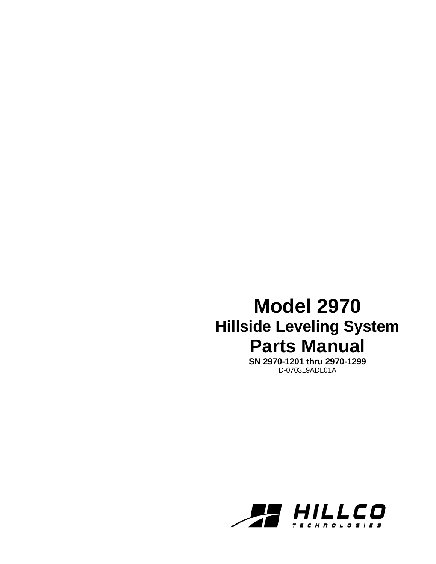# **Model 2970 Hillside Leveling System Parts Manual**

**SN 2970-1201 thru 2970-1299**  D-070319ADL01A

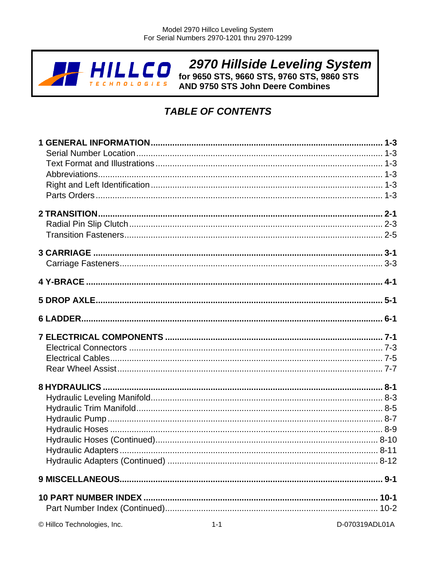

**2970 Hillside Leveling System**<br>for 9650 STS, 9660 STS, 9760 STS, 9860 STS<br>AND 9750 STS John Deere Combines

# **TABLE OF CONTENTS**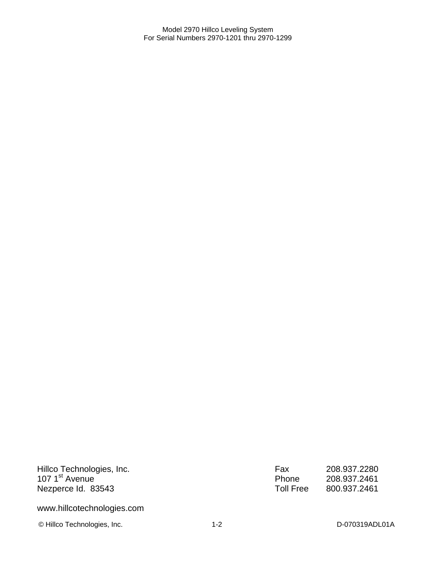Hillco Technologies, Inc. 107 1<sup>st</sup> Avenue Nezperce Id. 83543

Fax 208.937.2280 Phone 208.937.2461<br>Toll Free 800.937.2461 Toll Free 800.937.2461

www.hillcotechnologies.com

© Hillco Technologies, Inc. 1-2 1-2 D-070319ADL01A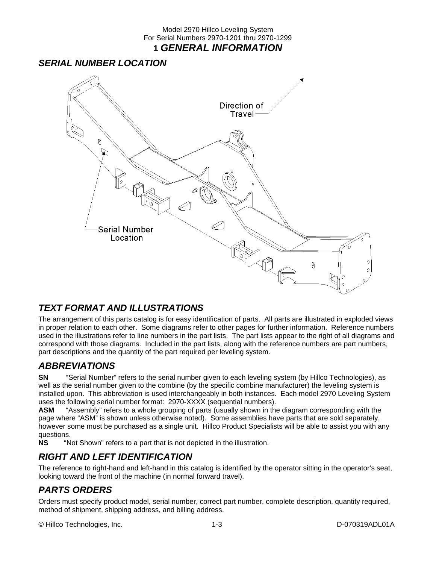#### Model 2970 Hillco Leveling System For Serial Numbers 2970-1201 thru 2970-1299 **1** *GENERAL INFORMATION*

## *SERIAL NUMBER LOCATION*



# *TEXT FORMAT AND ILLUSTRATIONS*

The arrangement of this parts catalog is for easy identification of parts. All parts are illustrated in exploded views in proper relation to each other. Some diagrams refer to other pages for further information. Reference numbers used in the illustrations refer to line numbers in the part lists. The part lists appear to the right of all diagrams and correspond with those diagrams. Included in the part lists, along with the reference numbers are part numbers, part descriptions and the quantity of the part required per leveling system.

### *ABBREVIATIONS*

**SN** "Serial Number" refers to the serial number given to each leveling system (by Hillco Technologies), as well as the serial number given to the combine (by the specific combine manufacturer) the leveling system is installed upon. This abbreviation is used interchangeably in both instances. Each model 2970 Leveling System uses the following serial number format: 2970-XXXX (sequential numbers).

**ASM** "Assembly" refers to a whole grouping of parts (usually shown in the diagram corresponding with the page where "ASM" is shown unless otherwise noted). Some assemblies have parts that are sold separately, however some must be purchased as a single unit. Hillco Product Specialists will be able to assist you with any questions.<br>NS "N

"Not Shown" refers to a part that is not depicted in the illustration.

### *RIGHT AND LEFT IDENTIFICATION*

The reference to right-hand and left-hand in this catalog is identified by the operator sitting in the operator's seat, looking toward the front of the machine (in normal forward travel).

# *PARTS ORDERS*

Orders must specify product model, serial number, correct part number, complete description, quantity required, method of shipment, shipping address, and billing address.

© Hillco Technologies, Inc. 1-3 D-070319ADL01A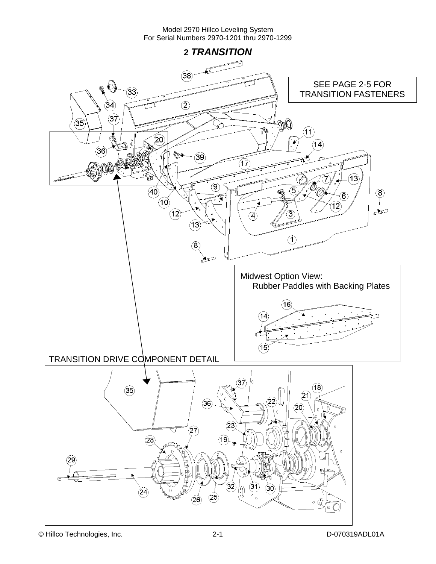**2** *TRANSITION* 

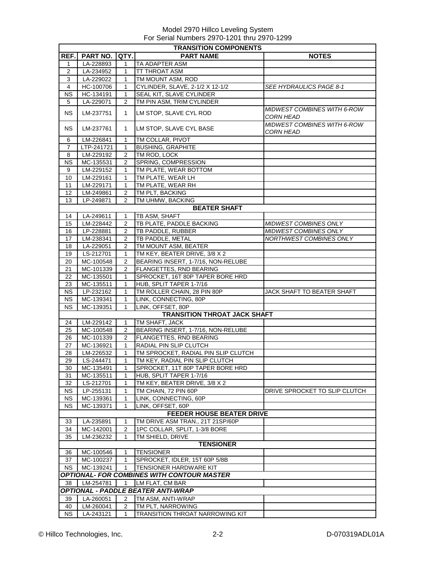| <b>TRANSITION COMPONENTS</b> |                 |                |                                                                           |                                                        |  |  |
|------------------------------|-----------------|----------------|---------------------------------------------------------------------------|--------------------------------------------------------|--|--|
| REF.                         | <b>PART NO.</b> | QTY.           | <b>PART NAME</b>                                                          | <b>NOTES</b>                                           |  |  |
| 1                            | LA-228893       | 1              | TA ADAPTER ASM                                                            |                                                        |  |  |
| $\sqrt{2}$                   | LA-234952       | $\mathbf{1}$   | <b>TT THROAT ASM</b>                                                      |                                                        |  |  |
| 3                            | LA-229022       | 1              | TM MOUNT ASM, ROD                                                         |                                                        |  |  |
| $\overline{4}$               | HC-100706       | 1              | CYLINDER, SLAVE, 2-1/2 X 12-1/2                                           | SEE HYDRAULICS PAGE 8-1                                |  |  |
| <b>NS</b>                    | HC-134191       | 1              | SEAL KIT. SLAVE CYLINDER                                                  |                                                        |  |  |
| 5                            | LA-229071       | 2              | TM PIN ASM, TRIM CYLINDER                                                 |                                                        |  |  |
| <b>NS</b>                    | LM-237751       | $\mathbf{1}$   | MIDWEST COMBINES WITH 6-ROW<br>LM STOP, SLAVE CYL ROD<br><b>CORN HEAD</b> |                                                        |  |  |
| <b>NS</b>                    | LM-237761       | $\mathbf{1}$   | LM STOP, SLAVE CYL BASE                                                   | <b>MIDWEST COMBINES WITH 6-ROW</b><br><b>CORN HEAD</b> |  |  |
| 6                            | LM-226841       | 1              | TM COLLAR, PIVOT                                                          |                                                        |  |  |
| 7                            | LTP-241721      | 1              | <b>BUSHING, GRAPHITE</b>                                                  |                                                        |  |  |
| 8                            | LM-229192       | 2              | TM ROD, LOCK                                                              |                                                        |  |  |
| ΝS                           | MC-135531       | 2              | SPRING, COMPRESSION                                                       |                                                        |  |  |
| 9                            | LM-229152       | 1              | TM PLATE, WEAR BOTTOM                                                     |                                                        |  |  |
| 10                           | LM-229161       | 1              | TM PLATE, WEAR LH                                                         |                                                        |  |  |
| 11                           | LM-229171       | 1              | TM PLATE, WEAR RH                                                         |                                                        |  |  |
| 12                           | LM-249861       | 2              | TM PLT, BACKING                                                           |                                                        |  |  |
| 13                           | LP-249871       | 2              | TM UHMW, BACKING                                                          |                                                        |  |  |
|                              |                 |                | <b>BEATER SHAFT</b>                                                       |                                                        |  |  |
| 14                           | LA-249611       | 1              | TB ASM, SHAFT                                                             |                                                        |  |  |
| 15                           | LM-228442       | 2              | TB PLATE, PADDLE BACKING                                                  | <b>MIDWEST COMBINES ONLY</b>                           |  |  |
| 16                           | LP-228881       | 2              | TB PADDLE, RUBBER                                                         | MIDWEST COMBINES ONLY                                  |  |  |
| 17                           | LM-238341       | 2              | TB PADDLE, METAL                                                          | NORTHWEST COMBINES ONLY                                |  |  |
| 18                           | LA-229051       | 2              | TM MOUNT ASM, BEATER                                                      |                                                        |  |  |
| 19                           | LS-212701       | 1              | TM KEY, BEATER DRIVE, 3/8 X 2                                             |                                                        |  |  |
| 20                           | MC-100548       | $\overline{2}$ | BEARING INSERT, 1-7/16, NON-RELUBE                                        |                                                        |  |  |
| 21                           | MC-101339       | 2              | <b>FLANGETTES, RND BEARING</b>                                            |                                                        |  |  |
| 22                           | MC-135501       |                |                                                                           |                                                        |  |  |
|                              |                 | 1              | SPROCKET, 16T 80P TAPER BORE HRD                                          |                                                        |  |  |
| 23                           | MC-135511       | 1              | HUB, SPLIT TAPER 1-7/16                                                   |                                                        |  |  |
| NS.                          | LP-232162       | 1              | TM ROLLER CHAIN, 28 PIN 80P                                               | JACK SHAFT TO BEATER SHAFT                             |  |  |
| NS.                          | MC-139341       | 1              | LINK, CONNECTING, 80P                                                     |                                                        |  |  |
| <b>NS</b>                    | MC-139351       | $\mathbf{1}$   | LINK, OFFSET, 80P                                                         |                                                        |  |  |
|                              |                 |                | <b>TRANSITION THROAT JACK SHAFT</b>                                       |                                                        |  |  |
| 24                           | LM-229142       | 1              | TM SHAFT, JACK                                                            |                                                        |  |  |
| 25                           | MC-100548       | 2              | BEARING INSERT, 1-7/16, NON-RELUBE                                        |                                                        |  |  |
| 26                           | MC-101339       | 2              | FLANGETTES, RND BEARING                                                   |                                                        |  |  |
| 27                           | MC-136921       | 1              | <b>RADIAL PIN SLIP CLUTCH</b>                                             |                                                        |  |  |
| 28                           | LM-226532       | 1              | TM SPROCKET, RADIAL PIN SLIP CLUTCH                                       |                                                        |  |  |
| 29                           | LS-244471       | $\mathbf{1}$   | TM KEY, RADIAL PIN SLIP CLUTCH                                            |                                                        |  |  |
| 30                           | MC-135491       | -1             | SPROCKET, 11T 80P TAPER BORE HRD                                          |                                                        |  |  |
| 31                           | MC-135511       | 1              | HUB, SPLIT TAPER 1-7/16                                                   |                                                        |  |  |
| 32                           | LS-212701       | 1              | TM KEY, BEATER DRIVE, 3/8 X 2                                             |                                                        |  |  |
| <b>NS</b>                    | LP-255131       | 1              | TM CHAIN, 72 PIN 60P                                                      | DRIVE SPROCKET TO SLIP CLUTCH                          |  |  |
| <b>NS</b>                    | MC-139361       | 1              | LINK, CONNECTING, 60P                                                     |                                                        |  |  |
| ΝS                           | MC-139371       | 1              | LINK, OFFSET, 60P                                                         |                                                        |  |  |
|                              |                 |                | <b>FEEDER HOUSE BEATER DRIVE</b>                                          |                                                        |  |  |
| 33                           | LA-235891       | 1              | TM DRIVE ASM TRAN., 21T 21SP/60P                                          |                                                        |  |  |
| 34                           | MC-142001       | 2              | 1PC COLLAR, SPLIT, 1-3/8 BORE                                             |                                                        |  |  |
| 35                           | LM-236232       | 1              | TM SHIELD, DRIVE                                                          |                                                        |  |  |
|                              |                 |                | <b>TENSIONER</b>                                                          |                                                        |  |  |
| 36                           | MC-100546       | 1              | <b>TENSIONER</b>                                                          |                                                        |  |  |
| 37                           | MC-100237       | 1              | SPROCKET, IDLER, 15T 60P 5/8B                                             |                                                        |  |  |
| <b>NS</b>                    | MC-139241       | 1              | <b>TENSIONER HARDWARE KIT</b>                                             |                                                        |  |  |
|                              |                 |                | <b>OPTIONAL- FOR COMBINES WITH CONTOUR MASTER</b>                         |                                                        |  |  |
| 38                           | LM-254781       | $\mathbf{1}$   | LM FLAT, CM BAR                                                           |                                                        |  |  |
|                              |                 |                | <b>OPTIONAL - PADDLE BEATER ANTI-WRAP</b>                                 |                                                        |  |  |
|                              |                 |                | TM ASM, ANTI-WRAP                                                         |                                                        |  |  |
| 39                           | LA-260051       | 2              |                                                                           |                                                        |  |  |
| 40                           | LM-260041       | 2              | TM PLT, NARROWING                                                         |                                                        |  |  |
| NS.                          | LA-243121       | 1              | TRANSITION THROAT NARROWING KIT                                           |                                                        |  |  |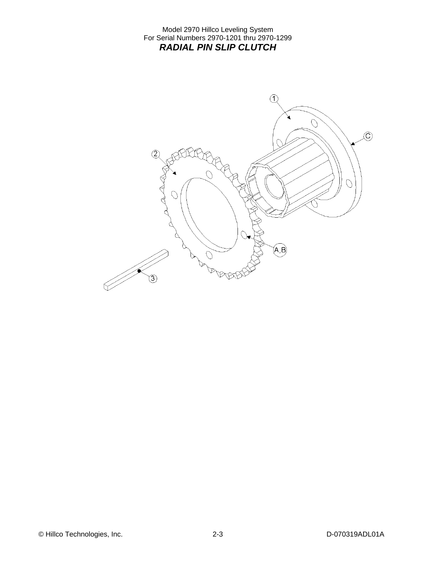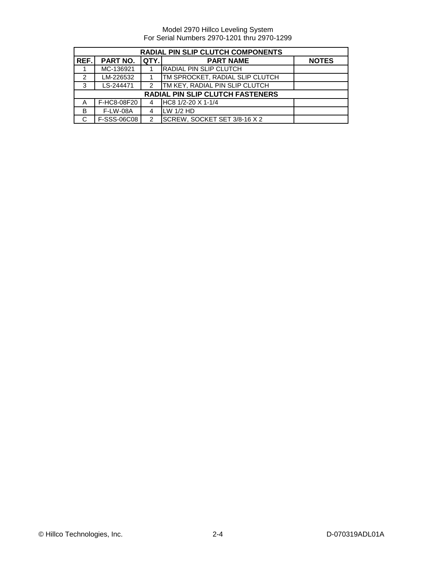| RADIAL PIN SLIP CLUTCH COMPONENTS |                 |               |                                        |              |  |  |
|-----------------------------------|-----------------|---------------|----------------------------------------|--------------|--|--|
| REF.                              | <b>PART NO.</b> | QTY.          | <b>PART NAME</b>                       | <b>NOTES</b> |  |  |
|                                   | MC-136921       |               | <b>IRADIAL PIN SLIP CLUTCH</b>         |              |  |  |
| 2                                 | LM-226532       |               | <b>TM SPROCKET, RADIAL SLIP CLUTCH</b> |              |  |  |
| 3                                 | LS-244471       | $\mathcal{P}$ | <b>TM KEY, RADIAL PIN SLIP CLUTCH</b>  |              |  |  |
|                                   |                 |               | RADIAL PIN SLIP CLUTCH FASTENERS       |              |  |  |
| Α                                 | F-HC8-08F20     |               | HC8 1/2-20 X 1-1/4                     |              |  |  |
| B                                 | <b>F-LW-08A</b> | 4             | $LW$ 1/2 HD                            |              |  |  |
| С                                 | F-SSS-06C08     | 2             | SCREW, SOCKET SET 3/8-16 X 2           |              |  |  |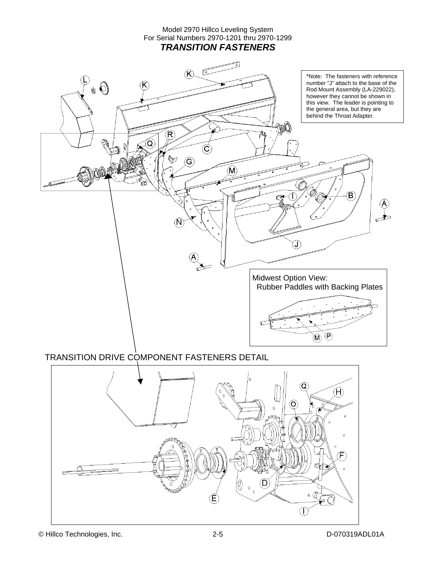#### Model 2970 Hillco Leveling System For Serial Numbers 2970-1201 thru 2970-1299 *TRANSITION FASTENERS*



# TRANSITION DRIVE COMPONENT FASTENERS DETAIL

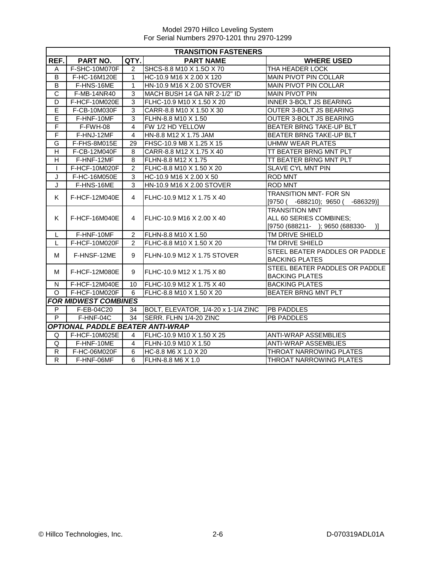|              | <b>TRANSITION FASTENERS</b>             |                 |                                     |                                                  |  |  |
|--------------|-----------------------------------------|-----------------|-------------------------------------|--------------------------------------------------|--|--|
| REF.         | PART NO.                                | QTY.            | <b>PART NAME</b>                    | <b>WHERE USED</b>                                |  |  |
| A            | F-SHC-10M070F                           | $\overline{2}$  | SHCS-8.8 M10 X 1.5O X 70            | THA HEADER LOCK                                  |  |  |
| B            | F-HC-16M120E                            | 1               | HC-10.9 M16 X 2.00 X 120            | <b>MAIN PIVOT PIN COLLAR</b>                     |  |  |
| B            | F-HNS-16ME                              | 1               | HN-10.9 M16 X 2.00 STOVER           | <b>MAIN PIVOT PIN COLLAR</b>                     |  |  |
| $\mathsf{C}$ | <b>F-MB-14NR40</b>                      | 3               | MACH BUSH 14 GA NR 2-1/2" ID        | <b>MAIN PIVOT PIN</b>                            |  |  |
| D            | F-HCF-10M020E                           | 3               | FLHC-10.9 M10 X 1.50 X 20           | <b>INNER 3-BOLT JS BEARING</b>                   |  |  |
| E            | F-CB-10M030F                            | 3               | CARR-8.8 M10 X 1.50 X 30            | OUTER 3-BOLT JS BEARING                          |  |  |
| E            | F-HNF-10MF                              | 3               | FLHN-8.8 M10 X 1.50                 | OUTER 3-BOLT JS BEARING                          |  |  |
| F            | F-FWH-08                                | $\overline{4}$  | FW 1/2 HD YELLOW                    | BEATER BRNG TAKE-UP BLT                          |  |  |
| F            | F-HNJ-12MF                              | 4               | HN-8.8 M12 X 1.75 JAM               | BEATER BRNG TAKE-UP BLT                          |  |  |
| G            | F-FHS-8M015E                            | 29              | FHSC-10.9 M8 X 1.25 X 15            | UHMW WEAR PLATES                                 |  |  |
| H            | F-CB-12M040F                            | 8               | CARR-8.8 M12 X 1.75 X 40            | TT BEATER BRNG MNT PLT                           |  |  |
| Н            | F-HNF-12MF                              | 8               | FLHN-8.8 M12 X 1.75                 | TT BEATER BRNG MNT PLT                           |  |  |
| $\mathbf{I}$ | F-HCF-10M020F                           | $\overline{2}$  | FLHC-8.8 M10 X 1.50 X 20            | SLAVE CYL MNT PIN                                |  |  |
| J            | F-HC-16M050E                            | 3               | HC-10.9 M16 X 2.00 X 50             | <b>ROD MNT</b>                                   |  |  |
| J            | F-HNS-16ME                              | 3               | HN-10.9 M16 X 2.00 STOVER           | <b>ROD MNT</b>                                   |  |  |
| K            | F-HCF-12M040E                           | $\overline{4}$  | FLHC-10.9 M12 X 1.75 X 40           | <b>TRANSITION MNT- FOR SN</b>                    |  |  |
|              |                                         |                 |                                     | $[9750 (-688210); 9650 (-686329)]$               |  |  |
|              |                                         |                 |                                     | <b>TRANSITION MNT</b>                            |  |  |
| K.           | F-HCF-16M040E                           | 4               | FLHC-10.9 M16 X 2.00 X 40           | ALL 60 SERIES COMBINES;                          |  |  |
|              |                                         |                 |                                     | [9750 (688211- ); 9650 (688330-<br>$\mathcal{L}$ |  |  |
| L            | F-HNF-10MF                              | 2               | FLHN-8.8 M10 X 1.50                 | TM DRIVE SHIELD                                  |  |  |
| L            | F-HCF-10M020F                           | $\mathcal{P}$   | FLHC-8.8 M10 X 1.50 X 20            | TM DRIVE SHIELD                                  |  |  |
| м            | F-HNSF-12ME                             | 9               | FLHN-10.9 M12 X 1.75 STOVER         | STEEL BEATER PADDLES OR PADDLE                   |  |  |
|              |                                         |                 |                                     | <b>BACKING PLATES</b>                            |  |  |
| м            | F-HCF-12M080E                           | 9               | FLHC-10.9 M12 X 1.75 X 80           | STEEL BEATER PADDLES OR PADDLE                   |  |  |
|              |                                         |                 |                                     | <b>BACKING PLATES</b>                            |  |  |
| ${\sf N}$    | F-HCF-12M040E                           | 10 <sup>1</sup> | FLHC-10.9 M12 X 1.75 X 40           | <b>BACKING PLATES</b>                            |  |  |
| O            | F-HCF-10M020F                           | 6               | FLHC-8.8 M10 X 1.50 X 20            | BEATER BRNG MNT PLT                              |  |  |
|              | <b>FOR MIDWEST COMBINES</b>             |                 |                                     |                                                  |  |  |
| P            | F-EB-04C20                              | 34              | BOLT, ELEVATOR, 1/4-20 x 1-1/4 ZINC | <b>PB PADDLES</b>                                |  |  |
| P            | F-HNF-04C                               | 34              | SERR. FLHN 1/4-20 ZINC              | <b>PB PADDLES</b>                                |  |  |
|              | <b>OPTIONAL PADDLE BEATER ANTI-WRAP</b> |                 |                                     |                                                  |  |  |
| Q            | F-HCF-10M025E                           | 4               | FLHC-10.9 M10 X 1.50 X 25           | <b>ANTI-WRAP ASSEMBLIES</b>                      |  |  |
| Q            | F-HNF-10ME                              | 4               | FLHN-10.9 M10 X 1.50                | <b>ANTI-WRAP ASSEMBLIES</b>                      |  |  |
| $\mathsf{R}$ | F-HC-06M020F                            | 6               | HC-8.8 M6 X 1.0 X 20                | <b>THROAT NARROWING PLATES</b>                   |  |  |
| R            | F-HNF-06MF                              | 6               | FLHN-8.8 M6 X 1.0                   | <b>THROAT NARROWING PLATES</b>                   |  |  |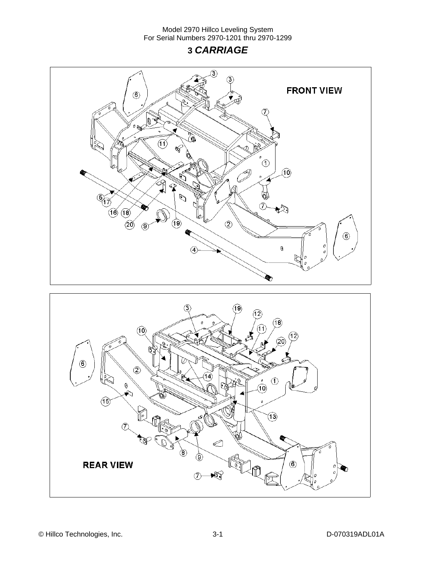# **3** *CARRIAGE*



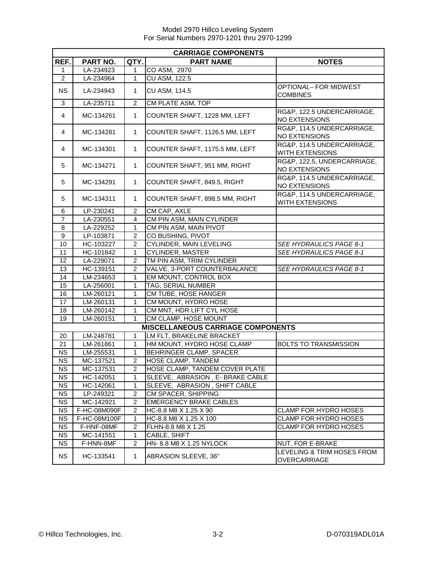| <b>CARRIAGE COMPONENTS</b> |              |                |                                          |                                                      |  |
|----------------------------|--------------|----------------|------------------------------------------|------------------------------------------------------|--|
| REF.                       | PART NO.     | QTY.           | <b>PART NAME</b>                         | <b>NOTES</b>                                         |  |
| 1                          | LA-234923    | 1              | CO ASM, 2970                             |                                                      |  |
| $\overline{c}$             | LA-234964    | 1              | CU ASM, 122.5                            |                                                      |  |
| <b>NS</b>                  | LA-234943    | 1              | <b>CU ASM, 114.5</b>                     | OPTIONAL--FOR MIDWEST<br><b>COMBINES</b>             |  |
| $\mathbf{3}$               | LA-235711    | $\overline{c}$ | CM PLATE ASM, TOP                        |                                                      |  |
| 4                          | MC-134261    | $\mathbf{1}$   | COUNTER SHAFT, 1228 MM, LEFT             | RG&P, 122.5 UNDERCARRIAGE,<br>NO EXTENSIONS          |  |
| 4                          | MC-134281    | $\mathbf{1}$   | COUNTER SHAFT, 1126.5 MM, LEFT           | RG&P, 114.5 UNDERCARRIAGE,<br>NO EXTENSIONS          |  |
| 4                          | MC-134301    | $\mathbf{1}$   | COUNTER SHAFT, 1175.5 MM, LEFT           | RG&P, 114.5 UNDERCARRIAGE,<br>WITH EXTENSIONS        |  |
| 5                          | MC-134271    | 1              | COUNTER SHAFT, 951 MM, RIGHT             | RG&P, 122.5, UNDERCARRIAGE,<br>NO EXTENSIONS         |  |
| 5                          | MC-134291    | 1              | COUNTER SHAFT, 849.5, RIGHT              | RG&P, 114.5 UNDERCARRIAGE,<br>NO EXTENSIONS          |  |
| 5                          | MC-134311    | 1              | COUNTER SHAFT, 898.5 MM, RIGHT           | RG&P, 114.5 UNDERCARRIAGE,<br><b>WITH EXTENSIONS</b> |  |
| 6                          | LP-230241    | $\overline{c}$ | CM CAP, AXLE                             |                                                      |  |
| $\overline{7}$             | LA-230551    | $\overline{4}$ | CM PIN ASM, MAIN CYLINDER                |                                                      |  |
| 8                          | LA-229252    | 1              | CM PIN ASM, MAIN PIVOT                   |                                                      |  |
| $\boldsymbol{9}$           | LP-103871    | $\overline{c}$ | CO BUSHING, PIVOT                        |                                                      |  |
| 10                         | HC-103227    | $\overline{2}$ | CYLINDER, MAIN LEVELING                  | SEE HYDRAULICS PAGE 8-1                              |  |
| 11                         | HC-101842    | 1              | <b>CYLINDER, MASTER</b>                  | SEE HYDRAULICS PAGE 8-1                              |  |
| 12                         | LA-229071    | $\overline{c}$ | TM PIN ASM, TRIM CYLINDER                |                                                      |  |
| 13                         | HC-139151    | $\overline{2}$ | VALVE, 3-PORT COUNTERBALANCE             | SEE HYDRAULICS PAGE 8-1                              |  |
| 14                         | LM-234653    | $\mathbf{1}$   | EM MOUNT, CONTROL BOX                    |                                                      |  |
| 15                         | LA-256001    | 1              | TAG, SERIAL NUMBER                       |                                                      |  |
| 16                         | LM-260121    | 1              | CM TUBE, HOSE HANGER                     |                                                      |  |
| 17                         | LM-260131    | $\mathbf{1}$   | CM MOUNT, HYDRO HOSE                     |                                                      |  |
| 18                         | LM-260142    | $\mathbf{1}$   | CM MNT, HDR LIFT CYL HOSE                |                                                      |  |
| 19                         | LM-260151    | 1              | CM CLAMP, HOSE MOUNT                     |                                                      |  |
|                            |              |                | <b>MISCELLANEOUS CARRIAGE COMPONENTS</b> |                                                      |  |
| 20                         | LM-248781    | $\mathbf{1}$   | LM FLT, BRAKELINE BRACKET                |                                                      |  |
| 21                         | LM-261861    | $\mathbf{1}$   | HM MOUNT, HYDRO HOSE CLAMP               | <b>BOLTS TO TRANSMISSION</b>                         |  |
| <b>NS</b>                  | LM-255531    | $\mathbf{1}$   | BEHRINGER CLAMP, SPACER                  |                                                      |  |
| <b>NS</b>                  | MC-137521    | $\overline{2}$ | <b>HOSE CLAMP, TANDEM</b>                |                                                      |  |
| NS.                        | MC-137531    | 2              | HOSE CLAMP, TANDEM COVER PLATE           |                                                      |  |
| NS.                        | HC-142051    | 1              | SLEEVE, ABRASION, E- BRAKE CABLE         |                                                      |  |
| <b>NS</b>                  | HC-142061    | 1              | SLEEVE, ABRASION, SHIFT CABLE            |                                                      |  |
| <b>NS</b>                  | LP-249321    | $\overline{c}$ | CM SPACER, SHIPPING                      |                                                      |  |
| <b>NS</b>                  | MC-142921    | $\overline{c}$ | <b>EMERGENCY BRAKE CABLES</b>            |                                                      |  |
| <b>NS</b>                  | F-HC-08M090F | $\overline{c}$ | HC-8.8 M8 X 1.25 X 90                    | <b>CLAMP FOR HYDRO HOSES</b>                         |  |
| <b>NS</b>                  | F-HC-08M100F | 1              | HC-8.8 M8 X 1.25 X 100                   | <b>CLAMP FOR HYDRO HOSES</b>                         |  |
| <b>NS</b>                  | F-HNF-08MF   | 2              | FLHN-8.8 M8 X 1.25                       | <b>CLAMP FOR HYDRO HOSES</b>                         |  |
| <b>NS</b>                  | MC-141551    | 1              | CABLE, SHIFT                             |                                                      |  |
| <b>NS</b>                  | F-HNN-8MF    | 2              | HN- 8.8 M8 X 1.25 NYLOCK                 | NUT, FOR E-BRAKE                                     |  |
| <b>NS</b>                  | HC-133541    | $\mathbf{1}$   | ABRASION SLEEVE, 36"                     | LEVELING & TRIM HOSES FROM<br>OVERCARRIAGE           |  |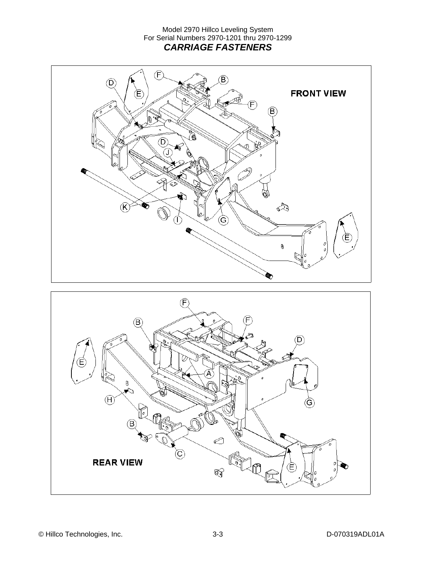#### Model 2970 Hillco Leveling System For Serial Numbers 2970-1201 thru 2970-1299 *CARRIAGE FASTENERS*



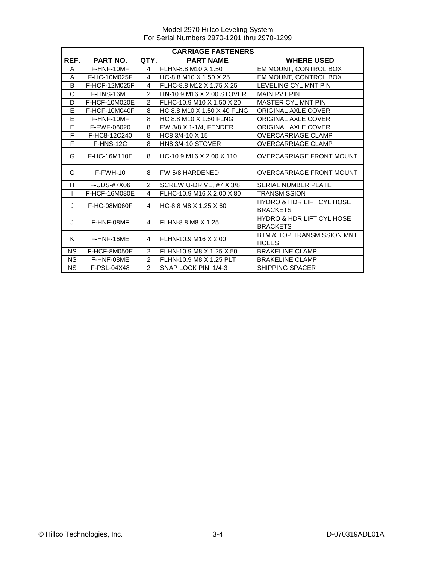|           | <b>CARRIAGE FASTENERS</b> |                         |                               |                                                         |  |  |
|-----------|---------------------------|-------------------------|-------------------------------|---------------------------------------------------------|--|--|
| REF.      | PART NO.                  | QTY.                    | <b>PART NAME</b>              | <b>WHERE USED</b>                                       |  |  |
| A         | F-HNF-10MF                | $\overline{\mathbf{4}}$ | FLHN-8.8 M10 X 1.50           | EM MOUNT, CONTROL BOX                                   |  |  |
| A         | F-HC-10M025F              | 4                       | HC-8.8 M10 X 1.50 X 25        | EM MOUNT, CONTROL BOX                                   |  |  |
| B         | F-HCF-12M025F             | 4                       | FLHC-8.8 M12 X 1.75 X 25      | <b>LEVELING CYL MNT PIN</b>                             |  |  |
| C         | F-HNS-16ME                | $\overline{2}$          | HN-10.9 M16 X 2.00 STOVER     | <b>MAIN PVT PIN</b>                                     |  |  |
| D         | F-HCF-10M020E             | $\mathcal{P}$           | FLHC-10.9 M10 X 1.50 X 20     | <b>MASTER CYL MNT PIN</b>                               |  |  |
| E         | F-HCF-10M040F             | 8                       | HC 8.8 M10 X 1.50 X 40 FLNG   | <b>ORIGINAL AXLE COVER</b>                              |  |  |
| E         | F-HNF-10MF                | 8                       | <b>HC 8.8 M10 X 1.50 FLNG</b> | <b>ORIGINAL AXLE COVER</b>                              |  |  |
| E         | F-FWF-06020               | 8                       | FW 3/8 X 1-1/4, FENDER        | <b>ORIGINAL AXLE COVER</b>                              |  |  |
| F         | F-HC8-12C240              | 8                       | HC8 3/4-10 X 15               | <b>OVERCARRIAGE CLAMP</b>                               |  |  |
| F         | F-HNS-12C                 | 8                       | <b>HN8 3/4-10 STOVER</b>      | <b>OVERCARRIAGE CLAMP</b>                               |  |  |
| G         | F-HC-16M110E              | 8                       | HC-10.9 M16 X 2.00 X 110      | <b>OVERCARRIAGE FRONT MOUNT</b>                         |  |  |
| G         | $F-FWH-10$                | 8                       | FW 5/8 HARDENED               | <b>OVERCARRIAGE FRONT MOUNT</b>                         |  |  |
| H         | F-UDS-#7X06               | $\overline{2}$          | SCREW U-DRIVE, #7 X 3/8       | <b>SERIAL NUMBER PLATE</b>                              |  |  |
|           | F-HCF-16M080E             | 4                       | FLHC-10.9 M16 X 2.00 X 80     | <b>TRANSMISSION</b>                                     |  |  |
| J         | F-HC-08M060F              | 4                       | HC-8.8 M8 X 1.25 X 60         | <b>HYDRO &amp; HDR LIFT CYL HOSE</b><br><b>BRACKETS</b> |  |  |
| J         | F-HNF-08MF                | 4                       | FLHN-8.8 M8 X 1.25            | <b>HYDRO &amp; HDR LIFT CYL HOSE</b><br><b>BRACKETS</b> |  |  |
| K         | F-HNF-16ME                | 4                       | FLHN-10.9 M16 X 2.00          | BTM & TOP TRANSMISSION MNT<br><b>HOLES</b>              |  |  |
| <b>NS</b> | F-HCF-8M050E              | $\mathcal{P}$           | FLHN-10.9 M8 X 1.25 X 50      | <b>BRAKELINE CLAMP</b>                                  |  |  |
| <b>NS</b> | F-HNF-08ME                | 2                       | FLHN-10.9 M8 X 1.25 PLT       | <b>BRAKELINE CLAMP</b>                                  |  |  |
| <b>NS</b> | F-PSL-04X48               | $\overline{2}$          | SNAP LOCK PIN, 1/4-3          | <b>SHIPPING SPACER</b>                                  |  |  |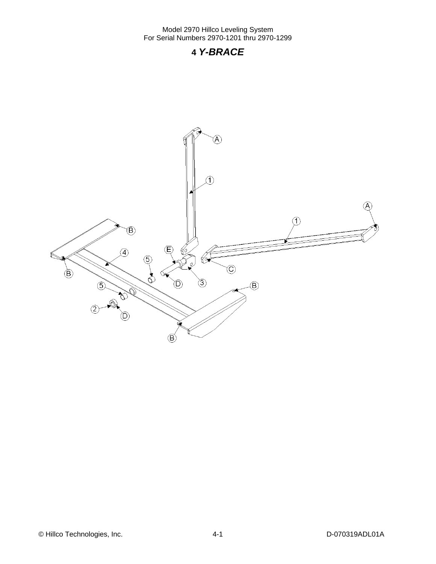# **4** *Y-BRACE*

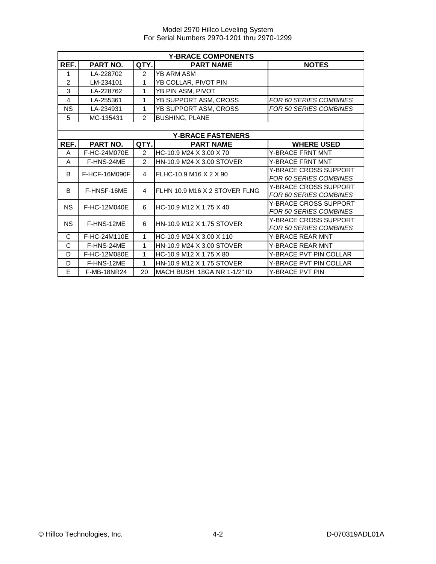| <b>Y-BRACE COMPONENTS</b> |                    |                |                               |                               |  |
|---------------------------|--------------------|----------------|-------------------------------|-------------------------------|--|
| REF.                      | PART NO.           | QTY.           | <b>PART NAME</b>              | <b>NOTES</b>                  |  |
| 1                         | LA-228702          | $\overline{2}$ | <b>YB ARM ASM</b>             |                               |  |
| $\overline{2}$            | LM-234101          | 1              | YB COLLAR, PIVOT PIN          |                               |  |
| 3                         | LA-228762          | 1              | YB PIN ASM, PIVOT             |                               |  |
| 4                         | LA-255361          | 1              | YB SUPPORT ASM, CROSS         | FOR 60 SERIES COMBINES        |  |
| ΝS                        | LA-234931          | 1              | YB SUPPORT ASM, CROSS         | <b>FOR 50 SERIES COMBINES</b> |  |
| 5                         | MC-135431          | $\overline{2}$ | <b>BUSHING, PLANE</b>         |                               |  |
|                           |                    |                |                               |                               |  |
|                           |                    |                | <b>Y-BRACE FASTENERS</b>      |                               |  |
| REF.                      | PART NO.           | QTY.           | <b>PART NAME</b>              | <b>WHERE USED</b>             |  |
| A                         | F-HC-24M070E       | 2              | HC-10.9 M24 X 3.00 X 70       | <b>Y-BRACE FRNT MNT</b>       |  |
| A                         | F-HNS-24ME         | $\overline{2}$ | HN-10.9 M24 X 3.00 STOVER     | <b>Y-BRACE FRNT MNT</b>       |  |
| B                         | F-HCF-16M090F      | 4              | FLHC-10.9 M16 X 2 X 90        | Y-BRACE CROSS SUPPORT         |  |
|                           |                    |                |                               | FOR 60 SERIES COMBINES        |  |
| B                         | F-HNSF-16ME        | 4              | FLHN 10.9 M16 X 2 STOVER FLNG | Y-BRACE CROSS SUPPORT         |  |
|                           |                    |                |                               | FOR 60 SERIES COMBINES        |  |
| <b>NS</b>                 | F-HC-12M040E       | 6              | HC-10.9 M12 X 1.75 X 40       | <b>Y-BRACE CROSS SUPPORT</b>  |  |
|                           |                    |                |                               | FOR 50 SERIES COMBINES        |  |
| <b>NS</b>                 | F-HNS-12ME         | 6              | HN-10.9 M12 X 1.75 STOVER     | <b>Y-BRACE CROSS SUPPORT</b>  |  |
|                           |                    |                |                               | <b>FOR 50 SERIES COMBINES</b> |  |
| C                         | F-HC-24M110E       | 1              | HC-10.9 M24 X 3.00 X 110      | <b>Y-BRACE REAR MNT</b>       |  |
| C                         | F-HNS-24ME         | 1              | HN-10.9 M24 X 3.00 STOVER     | Y-BRACE REAR MNT              |  |
| D                         | F-HC-12M080E       | 1              | HC-10.9 M12 X 1.75 X 80       | Y-BRACE PVT PIN COLLAR        |  |
| D                         | F-HNS-12ME         | 1              | HN-10.9 M12 X 1.75 STOVER     | <b>Y-BRACE PVT PIN COLLAR</b> |  |
| E                         | <b>F-MB-18NR24</b> | 20             | MACH BUSH 18GA NR 1-1/2" ID   | Y-BRACE PVT PIN               |  |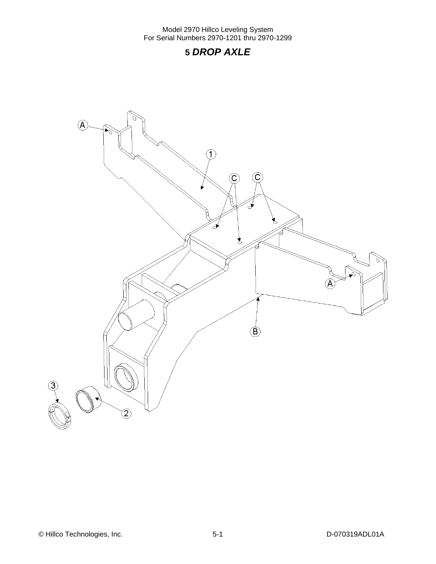# **5** *DROP AXLE*

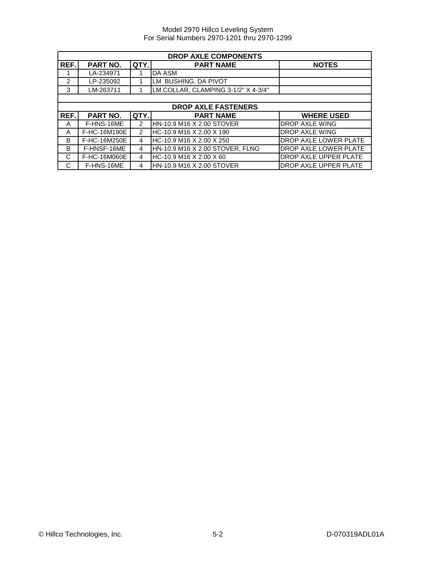| <b>DROP AXLE COMPONENTS</b> |              |                |                                     |                              |  |
|-----------------------------|--------------|----------------|-------------------------------------|------------------------------|--|
| REF.                        | PART NO.     | QTY.           | <b>PART NAME</b>                    | <b>NOTES</b>                 |  |
|                             | LA-234971    |                | DA ASM                              |                              |  |
| $\mathcal{P}$               | LP-235092    |                | LM BUSHING, DA PIVOT                |                              |  |
| 3                           | LM-263711    |                | LM COLLAR, CLAMPING 3-1/2" X 4-3/4" |                              |  |
|                             |              |                |                                     |                              |  |
|                             |              |                | <b>DROP AXLE FASTENERS</b>          |                              |  |
| REF.                        | PART NO.     | QTY.           | <b>PART NAME</b>                    | <b>WHERE USED</b>            |  |
| A                           | F-HNS-16ME   | $\mathcal{P}$  | HN-10.9 M16 X 2.00 STOVER           | DROP AXLE WING               |  |
| A                           | F-HC-16M190E | $\overline{2}$ | HC-10.9 M16 X 2.00 X 190            | DROP AXLE WING               |  |
| B                           | F-HC-16M250E | 4              | HC-10.9 M16 X 2.00 X 250            | <b>DROP AXLE LOWER PLATE</b> |  |
| B                           | F-HNSF-16ME  | 4              | HN-10.9 M16 X 2.00 STOVER, FLNG     | DROP AXLE LOWER PLATE        |  |
| C                           | F-HC-16M060E | 4              | HC-10.9 M16 X 2.00 X 60             | DROP AXLE UPPER PLATE        |  |
| C                           | F-HNS-16ME   | 4              | HN-10.9 M16 X 2.00 STOVER           | DROP AXLE UPPER PLATE        |  |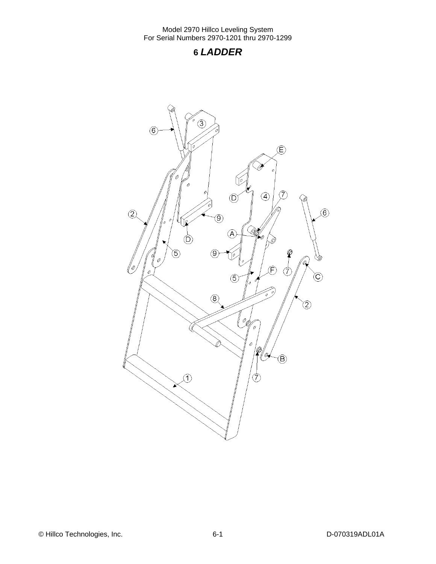# **6** *LADDER*

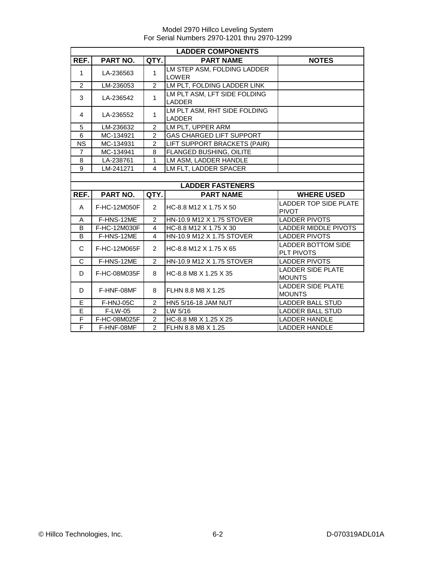|                | <b>LADDER COMPONENTS</b> |                                  |                                               |                                                |  |  |
|----------------|--------------------------|----------------------------------|-----------------------------------------------|------------------------------------------------|--|--|
| REF.           | PART NO.                 | QTY.                             | <b>PART NAME</b>                              | <b>NOTES</b>                                   |  |  |
| $\mathbf{1}$   | LA-236563                | $\mathbf{1}$                     | LM STEP ASM, FOLDING LADDER<br><b>LOWER</b>   |                                                |  |  |
| $\overline{2}$ | LM-236053                | $\overline{2}$                   | LM PLT, FOLDING LADDER LINK                   |                                                |  |  |
| 3              | LA-236542                | $\mathbf{1}$                     | LM PLT ASM, LFT SIDE FOLDING<br><b>LADDER</b> |                                                |  |  |
| 4              | LA-236552                | $\mathbf{1}$                     | LM PLT ASM, RHT SIDE FOLDING<br><b>LADDER</b> |                                                |  |  |
| $\sqrt{5}$     | LM-236632                | $\overline{2}$                   | LM PLT, UPPER ARM                             |                                                |  |  |
| 6              | MC-134921                | $\overline{2}$                   | <b>GAS CHARGED LIFT SUPPORT</b>               |                                                |  |  |
| <b>NS</b>      | MC-134931                | $\overline{2}$                   | LIFT SUPPORT BRACKETS (PAIR)                  |                                                |  |  |
| $\overline{7}$ | MC-134941                | 8                                | FLANGED BUSHING, OILITE                       |                                                |  |  |
| 8              | LA-238761                | $\overline{1}$                   | LM ASM, LADDER HANDLE                         |                                                |  |  |
| $\overline{9}$ | LM-241271                | 4                                | LM FLT, LADDER SPACER                         |                                                |  |  |
|                |                          |                                  |                                               |                                                |  |  |
|                |                          |                                  | <b>LADDER FASTENERS</b>                       |                                                |  |  |
| REF.           | PART NO.                 |                                  | <b>PART NAME</b>                              |                                                |  |  |
|                |                          | QTY.                             |                                               | <b>WHERE USED</b>                              |  |  |
| A              | F-HC-12M050F             | $\overline{2}$                   | HC-8.8 M12 X 1.75 X 50                        | LADDER TOP SIDE PLATE<br><b>PIVOT</b>          |  |  |
| A              | F-HNS-12ME               | $\overline{2}$                   | HN-10.9 M12 X 1.75 STOVER                     | <b>LADDER PIVOTS</b>                           |  |  |
| B              | F-HC-12M030F             | $\overline{4}$                   | HC-8.8 M12 X 1.75 X 30                        | LADDER MIDDLE PIVOTS                           |  |  |
| B              | F-HNS-12ME               | $\overline{4}$                   | HN-10.9 M12 X 1.75 STOVER                     | <b>LADDER PIVOTS</b>                           |  |  |
| C              | F-HC-12M065F             | $\overline{2}$                   | HC-8.8 M12 X 1.75 X 65                        | <b>LADDER BOTTOM SIDE</b><br><b>PLT PIVOTS</b> |  |  |
| C              | F-HNS-12ME               | $\overline{2}$                   | HN-10.9 M12 X 1.75 STOVER                     | <b>LADDER PIVOTS</b>                           |  |  |
| D              | F-HC-08M035F             | 8                                | HC-8.8 M8 X 1.25 X 35                         | <b>LADDER SIDE PLATE</b><br><b>MOUNTS</b>      |  |  |
| D              | F-HNF-08MF               | 8                                | FLHN 8.8 M8 X 1.25                            | <b>LADDER SIDE PLATE</b><br><b>MOUNTS</b>      |  |  |
| E              | F-HNJ-05C                | $\mathcal{P}$                    | HN5 5/16-18 JAM NUT                           | <b>LADDER BALL STUD</b>                        |  |  |
| E              | F-LW-05                  | $\overline{2}$                   | LW 5/16                                       | <b>LADDER BALL STUD</b>                        |  |  |
| F<br>F         | F-HC-08M025F             | $\overline{c}$<br>$\overline{2}$ | HC-8.8 M8 X 1.25 X 25                         | <b>LADDER HANDLE</b>                           |  |  |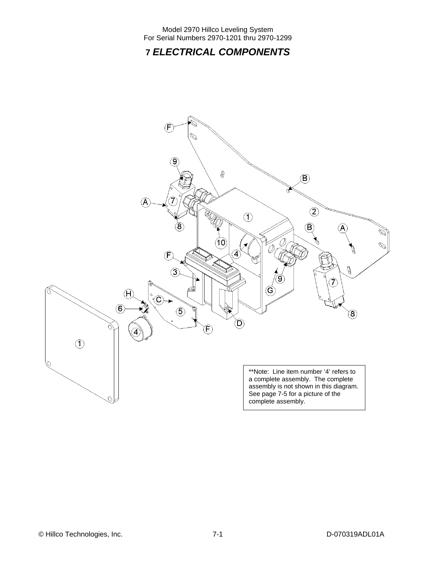# **7** *ELECTRICAL COMPONENTS*

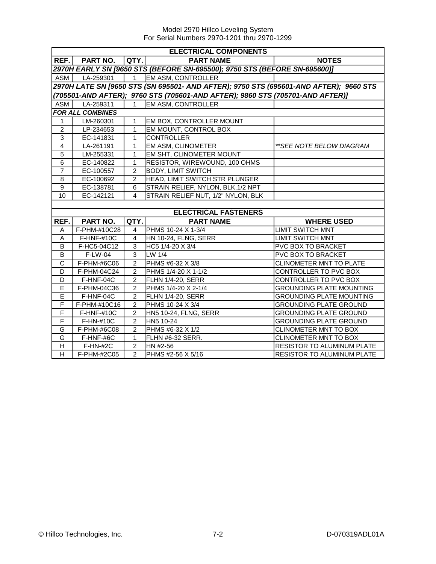|                       | <b>ELECTRICAL COMPONENTS</b>                                                          |                |                                                                           |                                   |  |  |  |
|-----------------------|---------------------------------------------------------------------------------------|----------------|---------------------------------------------------------------------------|-----------------------------------|--|--|--|
| REF.I                 | <b>PART NO.</b>                                                                       | $ $ QTY. $ $   | <b>PART NAME</b>                                                          | <b>NOTES</b>                      |  |  |  |
|                       |                                                                                       |                | 2970H EARLY SN [9650 STS (BEFORE SN-695500); 9750 STS (BEFORE SN-695600)] |                                   |  |  |  |
|                       |                                                                                       |                | ASM   LA-259301   1   EM ASM, CONTROLLER                                  |                                   |  |  |  |
|                       | 2970H LATE SN [9650 STS (SN 695501- AND AFTER); 9750 STS (695601-AND AFTER); 9660 STS |                |                                                                           |                                   |  |  |  |
|                       | (705501-AND AFTER); 9760 STS (705601-AND AFTER); 9860 STS (705701-AND AFTER)]         |                |                                                                           |                                   |  |  |  |
|                       | <b>EM ASM, CONTROLLER</b><br>LA-259311<br>$\mathbf{1}$<br><b>ASM</b>                  |                |                                                                           |                                   |  |  |  |
|                       | <b>FOR ALL COMBINES</b>                                                               |                |                                                                           |                                   |  |  |  |
| $\mathbf{1}$          | LM-260301                                                                             | 1              | EM BOX, CONTROLLER MOUNT                                                  |                                   |  |  |  |
| $\overline{2}$        | LP-234653                                                                             | 1              | EM MOUNT, CONTROL BOX                                                     |                                   |  |  |  |
| 3                     | EC-141831                                                                             | 1              | <b>CONTROLLER</b>                                                         |                                   |  |  |  |
| $\overline{4}$        | LA-261191                                                                             | 1              | EM ASM, CLINOMETER                                                        | **SEE NOTE BELOW DIAGRAM          |  |  |  |
| $\overline{5}$        | LM-255331                                                                             | 1              | EM SHT, CLINOMETER MOUNT                                                  |                                   |  |  |  |
| 6                     | EC-140822                                                                             | 1              | RESISTOR, WIREWOUND, 100 OHMS                                             |                                   |  |  |  |
| $\overline{7}$        | EC-100557                                                                             | $\overline{2}$ | <b>BODY, LIMIT SWITCH</b>                                                 |                                   |  |  |  |
| 8                     | EC-100692                                                                             | $\overline{2}$ | HEAD, LIMIT SWITCH STR PLUNGER                                            |                                   |  |  |  |
| 9                     | EC-138781                                                                             | 6              | STRAIN RELIEF, NYLON, BLK, 1/2 NPT                                        |                                   |  |  |  |
| 10                    | EC-142121                                                                             | 4              | STRAIN RELIEF NUT, 1/2" NYLON, BLK                                        |                                   |  |  |  |
|                       |                                                                                       |                |                                                                           |                                   |  |  |  |
|                       |                                                                                       |                | <b>ELECTRICAL FASTENERS</b>                                               |                                   |  |  |  |
| REF.                  | PART NO.                                                                              | QTY.           | <b>PART NAME</b>                                                          | <b>WHERE USED</b>                 |  |  |  |
| A                     | F-PHM-#10C28                                                                          | 4              | PHMS 10-24 X 1-3/4                                                        | <b>LIMIT SWITCH MNT</b>           |  |  |  |
| A                     | F-HNF-#10C                                                                            | $\overline{4}$ | HN 10-24, FLNG, SERR                                                      | <b>LIMIT SWITCH MNT</b>           |  |  |  |
| B                     | F-HC5-04C12                                                                           | 3              | HC5 1/4-20 X 3/4                                                          | PVC BOX TO BRACKET                |  |  |  |
| B                     | F-LW-04                                                                               | 3              | LW 1/4                                                                    | PVC BOX TO BRACKET                |  |  |  |
| $\overline{\text{c}}$ | F-PHM-#6C06                                                                           | $\overline{2}$ | PHMS #6-32 X 3/8                                                          | CLINOMETER MNT TO PLATE           |  |  |  |
| D                     | F-PHM-04C24                                                                           | $\overline{2}$ | PHMS 1/4-20 X 1-1/2                                                       | CONTROLLER TO PVC BOX             |  |  |  |
| D                     | F-HNF-04C                                                                             | $\overline{2}$ | <b>FLHN 1/4-20, SERR</b>                                                  | CONTROLLER TO PVC BOX             |  |  |  |
| E                     | F-PHM-04C36                                                                           | 2              | PHMS 1/4-20 X 2-1/4                                                       | <b>GROUNDING PLATE MOUNTING</b>   |  |  |  |
| E                     | F-HNF-04C                                                                             | 2              | <b>FLHN 1/4-20, SERR</b>                                                  | <b>GROUNDING PLATE MOUNTING</b>   |  |  |  |
| F                     | F-PHM-#10C16                                                                          | $\overline{2}$ | PHMS 10-24 X 3/4                                                          | <b>GROUNDING PLATE GROUND</b>     |  |  |  |
| F                     | F-HNF-#10C                                                                            | $\overline{2}$ | HN5 10-24, FLNG, SERR                                                     | <b>GROUNDING PLATE GROUND</b>     |  |  |  |
| F                     | F-HN-#10C                                                                             | $\overline{2}$ | HN5 10-24                                                                 | <b>GROUNDING PLATE GROUND</b>     |  |  |  |
| G                     | F-PHM-#6C08                                                                           | 2              | PHMS #6-32 X 1/2                                                          | <b>CLINOMETER MNT TO BOX</b>      |  |  |  |
| G                     | F-HNF-#6C                                                                             | 1              | FLHN #6-32 SERR.                                                          | CLINOMETER MNT TO BOX             |  |  |  |
| H                     | $F-HN-#2C$                                                                            | $\overline{2}$ | HN #2-56                                                                  | <b>RESISTOR TO ALUMINUM PLATE</b> |  |  |  |
| H                     | F-PHM-#2C05                                                                           | $\mathcal{P}$  | PHMS #2-56 X 5/16                                                         | <b>RESISTOR TO ALUMINUM PLATE</b> |  |  |  |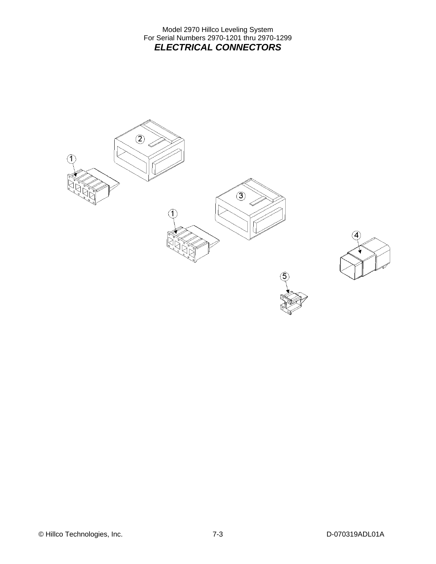Model 2970 Hillco Leveling System For Serial Numbers 2970-1201 thru 2970-1299 *ELECTRICAL CONNECTORS* 



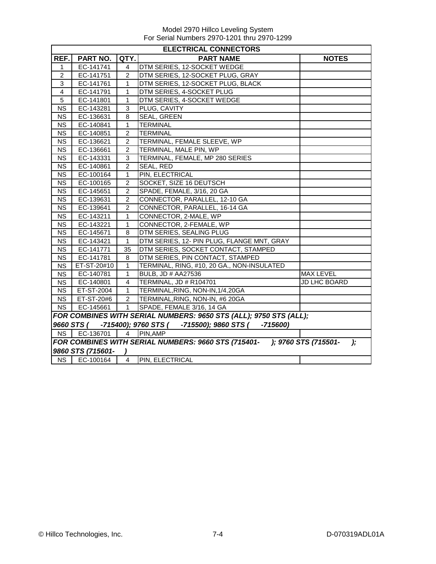|                        | <b>ELECTRICAL CONNECTORS</b> |                |                                                                          |                     |  |  |
|------------------------|------------------------------|----------------|--------------------------------------------------------------------------|---------------------|--|--|
| REF.                   | <b>PART NO.</b>              | QTY.           | <b>PART NAME</b>                                                         | <b>NOTES</b>        |  |  |
| $\mathbf{1}$           | EC-141741                    | 4              | DTM SERIES, 12-SOCKET WEDGE                                              |                     |  |  |
| $\overline{2}$         | EC-141751                    | $\overline{2}$ | DTM SERIES, 12-SOCKET PLUG, GRAY                                         |                     |  |  |
| 3                      | EC-141761                    | $\mathbf{1}$   | DTM SERIES, 12-SOCKET PLUG, BLACK                                        |                     |  |  |
| $\overline{4}$         | EC-141791                    | $\mathbf{1}$   | DTM SERIES, 4-SOCKET PLUG                                                |                     |  |  |
| 5                      | EC-141801                    | 1.             | DTM SERIES, 4-SOCKET WEDGE                                               |                     |  |  |
| <b>NS</b>              | EC-143281                    | 3              | PLUG, CAVITY                                                             |                     |  |  |
| <b>NS</b>              | EC-136631                    | 8              | SEAL, GREEN                                                              |                     |  |  |
| <b>NS</b>              | EC-140841                    | $\mathbf{1}$   | <b>TERMINAL</b>                                                          |                     |  |  |
| <b>NS</b>              | EC-140851                    | $\overline{2}$ | <b>TERMINAL</b>                                                          |                     |  |  |
| <b>NS</b>              | EC-136621                    | $\overline{2}$ | TERMINAL, FEMALE SLEEVE, WP                                              |                     |  |  |
| <b>NS</b>              | EC-136661                    | $\overline{2}$ | TERMINAL, MALE PIN, WP                                                   |                     |  |  |
| <b>NS</b>              | EC-143331                    | 3              | TERMINAL, FEMALE, MP 280 SERIES                                          |                     |  |  |
| <b>NS</b>              | EC-140861                    | $\overline{2}$ | SEAL, RED                                                                |                     |  |  |
| <b>NS</b>              | EC-100164                    | $\mathbf{1}$   | PIN, ELECTRICAL                                                          |                     |  |  |
| <b>NS</b>              | EC-100165                    | $\overline{c}$ | SOCKET, SIZE 16 DEUTSCH                                                  |                     |  |  |
| <b>NS</b>              | EC-145651                    | $\overline{2}$ | SPADE, FEMALE, 3/16, 20 GA                                               |                     |  |  |
| <b>NS</b>              | EC-139631                    | $\overline{2}$ | CONNECTOR, PARALLEL, 12-10 GA                                            |                     |  |  |
| <b>NS</b>              | EC-139641                    | $\overline{2}$ | CONNECTOR, PARALLEL, 16-14 GA                                            |                     |  |  |
| <b>NS</b>              | EC-143211                    | 1.             | CONNECTOR, 2-MALE, WP                                                    |                     |  |  |
| NS.                    | EC-143221                    | 1              | CONNECTOR, 2-FEMALE, WP                                                  |                     |  |  |
| <b>NS</b>              | EC-145671                    | 8              | DTM SERIES, SEALING PLUG                                                 |                     |  |  |
| <b>NS</b>              | EC-143421                    | 1              | DTM SERIES, 12- PIN PLUG, FLANGE MNT, GRAY                               |                     |  |  |
| <b>NS</b>              | EC-141771                    | 35             | <b>DTM SERIES, SOCKET CONTACT, STAMPED</b>                               |                     |  |  |
| $\overline{\text{NS}}$ | EC-141781                    | 8              | DTM SERIES, PIN CONTACT, STAMPED                                         |                     |  |  |
| <b>NS</b>              | ET-ST-20#10                  | $\mathbf{1}$   | TERMINAL, RING, #10, 20 GA., NON-INSULATED                               |                     |  |  |
| <b>NS</b>              | EC-140781                    | $\mathbf{1}$   | BULB, JD # AA27536                                                       | <b>MAX LEVEL</b>    |  |  |
| <b>NS</b>              | EC-140801                    | $\overline{4}$ | TERMINAL, JD # R104701                                                   | <b>JD LHC BOARD</b> |  |  |
| <b>NS</b>              | ET-ST-2004                   | $\mathbf{1}$   | TERMINAL, RING, NON-IN, 1/4, 20GA                                        |                     |  |  |
| NS                     | ET-ST-20#6                   | $\overline{2}$ | TERMINAL, RING, NON-IN, #6 20GA                                          |                     |  |  |
| NS                     | EC-145661                    | $\overline{1}$ | SPADE, FEMALE 3/16, 14 GA                                                |                     |  |  |
|                        |                              |                | FOR COMBINES WITH SERIAL NUMBERS: 9650 STS (ALL); 9750 STS (ALL);        |                     |  |  |
|                        |                              |                | 9660 STS ( -715400); 9760 STS ( -715500); 9860 STS ( -715600)            |                     |  |  |
|                        | NS   EC-136701   4           |                | PIN, AMP                                                                 |                     |  |  |
|                        |                              |                | FOR COMBINES WITH SERIAL NUMBERS: 9660 STS (715401- ); 9760 STS (715501- | $\cdot$             |  |  |
|                        | 9860 STS (715601-            |                |                                                                          |                     |  |  |
|                        | NS   EC-100164               | $\overline{4}$ | PIN, ELECTRICAL                                                          |                     |  |  |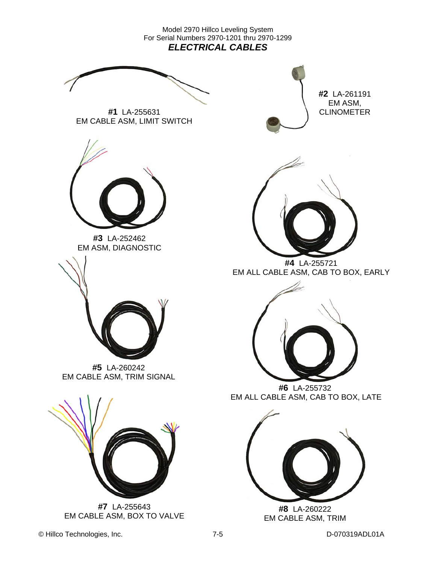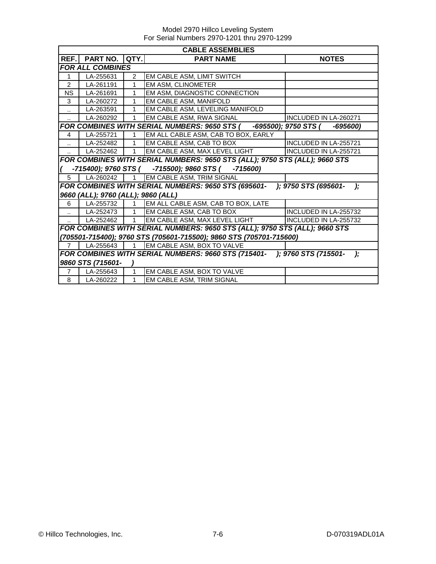| <b>CABLE ASSEMBLIES</b> |                                    |                |                                                                             |                       |  |  |  |
|-------------------------|------------------------------------|----------------|-----------------------------------------------------------------------------|-----------------------|--|--|--|
| REF.I                   | <b>PART NO.</b>                    | QTY.           | <b>PART NAME</b>                                                            | <b>NOTES</b>          |  |  |  |
|                         | <b>FOR ALL COMBINES</b>            |                |                                                                             |                       |  |  |  |
| $\mathbf{1}$            | LA-255631                          | $\overline{2}$ | EM CABLE ASM, LIMIT SWITCH                                                  |                       |  |  |  |
| $\mathcal{P}$           | LA-261191                          | $\mathbf{1}$   | EM ASM, CLINOMETER                                                          |                       |  |  |  |
| NS.                     | LA-261691                          | $\mathbf{1}$   | EM ASM, DIAGNOSTIC CONNECTION                                               |                       |  |  |  |
| 3                       | LA-260272                          | $\mathbf{1}$   | EM CABLE ASM, MANIFOLD                                                      |                       |  |  |  |
| $\ldots$                | LA-263591                          | $\mathbf{1}$   | EM CABLE ASM, LEVELING MANIFOLD                                             |                       |  |  |  |
|                         | LA-260292                          | $\mathbf{1}$   | EM CABLE ASM, RWA SIGNAL                                                    | INCLUDED IN LA-260271 |  |  |  |
|                         |                                    |                | FOR COMBINES WITH SERIAL NUMBERS: 9650 STS ( -695500); 9750 STS (           | -695600)              |  |  |  |
| 4                       | LA-255721                          | $\mathbf{1}$   | EM ALL CABLE ASM, CAB TO BOX, EARLY                                         |                       |  |  |  |
| $\ddotsc$               | LA-252482                          | $\mathbf{1}$   | EM CABLE ASM, CAB TO BOX                                                    | INCLUDED IN LA-255721 |  |  |  |
|                         | LA-252462   1                      |                | EM CABLE ASM, MAX LEVEL LIGHT                                               | INCLUDED IN LA-255721 |  |  |  |
|                         |                                    |                | FOR COMBINES WITH SERIAL NUMBERS: 9650 STS (ALL); 9750 STS (ALL); 9660 STS  |                       |  |  |  |
|                         |                                    |                | -715400); 9760 STS ( -715500); 9860 STS ( -715600)                          |                       |  |  |  |
|                         |                                    |                | 5   LA-260242   1   EM CABLE ASM, TRIM SIGNAL                               |                       |  |  |  |
|                         |                                    |                | FOR COMBINES WITH SERIAL NUMBERS: 9650 STS (695601- ); 9750 STS (695601- ); |                       |  |  |  |
|                         | 9660 (ALL); 9760 (ALL); 9860 (ALL) |                |                                                                             |                       |  |  |  |
| 6                       |                                    |                | LA-255732   1   EM ALL CABLE ASM, CAB TO BOX, LATE                          |                       |  |  |  |
|                         | LA-252473   1                      |                | EM CABLE ASM, CAB TO BOX                                                    | INCLUDED IN LA-255732 |  |  |  |
|                         | LA-252462 1                        |                | EM CABLE ASM, MAX LEVEL LIGHT                                               | INCLUDED IN LA-255732 |  |  |  |
|                         |                                    |                | FOR COMBINES WITH SERIAL NUMBERS: 9650 STS (ALL); 9750 STS (ALL); 9660 STS  |                       |  |  |  |
|                         |                                    |                | (705501-715400); 9760 STS (705601-715500); 9860 STS (705701-715600)         |                       |  |  |  |
| $7^{\circ}$             |                                    |                | LA-255643   1   EM CABLE ASM, BOX TO VALVE                                  |                       |  |  |  |
|                         |                                    |                | FOR COMBINES WITH SERIAL NUMBERS: 9660 STS (715401- ); 9760 STS (715501-    | );                    |  |  |  |
|                         | 9860 STS (715601-                  |                |                                                                             |                       |  |  |  |
| $\overline{7}$          | LA-255643                          | $\mathbf{1}$   | EM CABLE ASM, BOX TO VALVE                                                  |                       |  |  |  |
| 8                       | LA-260222                          | $\mathbf{1}$   | EM CABLE ASM, TRIM SIGNAL                                                   |                       |  |  |  |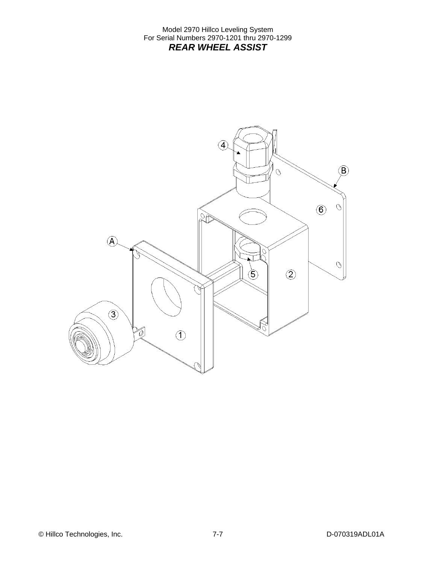Model 2970 Hillco Leveling System For Serial Numbers 2970-1201 thru 2970-1299 *REAR WHEEL ASSIST* 

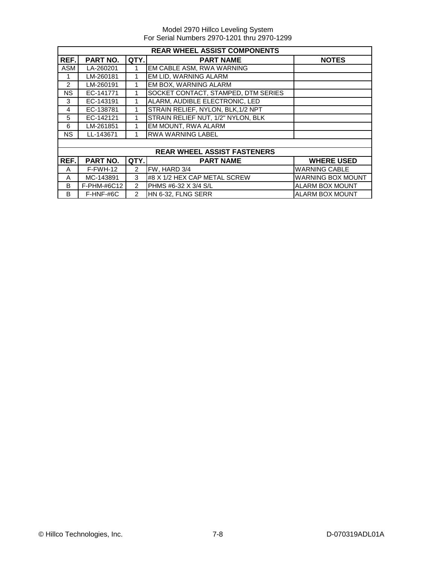|               | <b>REAR WHEEL ASSIST COMPONENTS</b> |                |                                     |                          |  |  |  |  |
|---------------|-------------------------------------|----------------|-------------------------------------|--------------------------|--|--|--|--|
| REF.          | PART NO.                            | QTY.           | <b>PART NAME</b>                    | <b>NOTES</b>             |  |  |  |  |
| ASM           | LA-260201                           | 1              | EM CABLE ASM, RWA WARNING           |                          |  |  |  |  |
|               | LM-260181                           |                | EM LID, WARNING ALARM               |                          |  |  |  |  |
| $\mathcal{P}$ | LM-260191                           | 1              | EM BOX, WARNING ALARM               |                          |  |  |  |  |
| <b>NS</b>     | EC-141771                           |                | SOCKET CONTACT, STAMPED, DTM SERIES |                          |  |  |  |  |
| 3             | EC-143191                           | 1              | ALARM, AUDIBLE ELECTRONIC, LED      |                          |  |  |  |  |
| 4             | EC-138781                           | 1              | STRAIN RELIEF, NYLON, BLK, 1/2 NPT  |                          |  |  |  |  |
| 5             | EC-142121                           | 1              | STRAIN RELIEF NUT, 1/2" NYLON, BLK  |                          |  |  |  |  |
| 6             | LM-261851                           | 1              | EM MOUNT, RWA ALARM                 |                          |  |  |  |  |
| <b>NS</b>     | LL-143671                           |                | RWA WARNING LABEL                   |                          |  |  |  |  |
|               |                                     |                |                                     |                          |  |  |  |  |
|               |                                     |                | <b>REAR WHEEL ASSIST FASTENERS</b>  |                          |  |  |  |  |
| REF.          | PART NO.                            | QTY.           | <b>PART NAME</b>                    | <b>WHERE USED</b>        |  |  |  |  |
| A             | F-FWH-12                            | $\overline{2}$ | FW, HARD 3/4                        | <b>WARNING CABLE</b>     |  |  |  |  |
| A             | MC-143891                           | 3              | #8 X 1/2 HEX CAP METAL SCREW        | <b>WARNING BOX MOUNT</b> |  |  |  |  |
| B             | F-PHM-#6C12                         | $\mathcal{P}$  | PHMS #6-32 X 3/4 S/L                | <b>ALARM BOX MOUNT</b>   |  |  |  |  |
| B             | F-HNF-#6C                           | 2              | HN 6-32, FLNG SERR                  | <b>ALARM BOX MOUNT</b>   |  |  |  |  |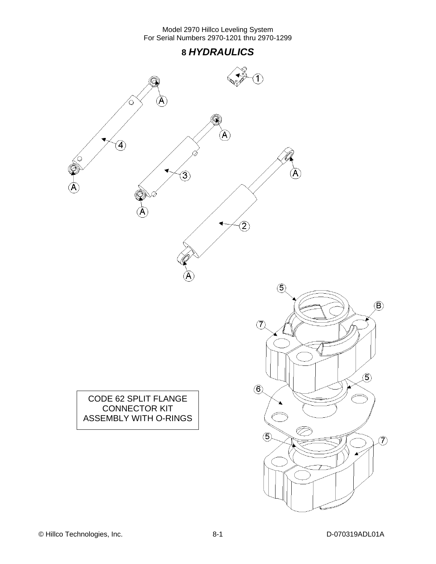





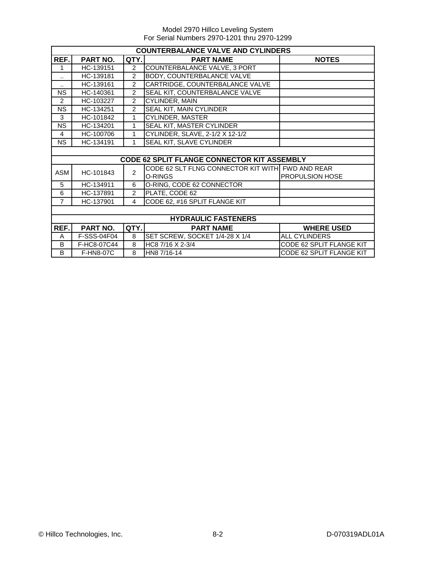|                      | <b>COUNTERBALANCE VALVE AND CYLINDERS</b> |                |                                                    |                          |  |  |  |  |
|----------------------|-------------------------------------------|----------------|----------------------------------------------------|--------------------------|--|--|--|--|
| REF.                 | PART NO.                                  | QTY.           | <b>PART NAME</b>                                   | <b>NOTES</b>             |  |  |  |  |
| 1                    | HC-139151                                 | $\overline{2}$ | COUNTERBALANCE VALVE, 3 PORT                       |                          |  |  |  |  |
| $\ddot{\phantom{a}}$ | HC-139181                                 | $\overline{c}$ | BODY, COUNTERBALANCE VALVE                         |                          |  |  |  |  |
| ٠.                   | HC-139161                                 | $\overline{2}$ | CARTRIDGE, COUNTERBALANCE VALVE                    |                          |  |  |  |  |
| <b>NS</b>            | HC-140361                                 | $\overline{2}$ | SEAL KIT, COUNTERBALANCE VALVE                     |                          |  |  |  |  |
| $\overline{2}$       | HC-103227                                 | $\overline{2}$ | CYLINDER, MAIN                                     |                          |  |  |  |  |
| <b>NS</b>            | HC-134251                                 | $\overline{2}$ | SEAL KIT, MAIN CYLINDER                            |                          |  |  |  |  |
| 3                    | HC-101842                                 | 1              | CYLINDER, MASTER                                   |                          |  |  |  |  |
| <b>NS</b>            | HC-134201                                 | 1              | SEAL KIT, MASTER CYLINDER                          |                          |  |  |  |  |
| 4                    | HC-100706                                 | 1              | CYLINDER, SLAVE, 2-1/2 X 12-1/2                    |                          |  |  |  |  |
| <b>NS</b>            | HC-134191                                 | 1              | SEAL KIT, SLAVE CYLINDER                           |                          |  |  |  |  |
|                      |                                           |                |                                                    |                          |  |  |  |  |
|                      |                                           |                | <b>CODE 62 SPLIT FLANGE CONNECTOR KIT ASSEMBLY</b> |                          |  |  |  |  |
| <b>ASM</b>           | HC-101843                                 | $\overline{2}$ | CODE 62 SLT FLNG CONNECTOR KIT WITH FWD AND REAR   |                          |  |  |  |  |
|                      |                                           |                | O-RINGS                                            | <b>PROPULSION HOSE</b>   |  |  |  |  |
| 5                    | HC-134911                                 | 6              | O-RING, CODE 62 CONNECTOR                          |                          |  |  |  |  |
| 6                    | HC-137891                                 | $\overline{2}$ | PLATE, CODE 62                                     |                          |  |  |  |  |
| $\overline{7}$       | HC-137901                                 | 4              | CODE 62, #16 SPLIT FLANGE KIT                      |                          |  |  |  |  |
|                      |                                           |                |                                                    |                          |  |  |  |  |
|                      |                                           |                | <b>HYDRAULIC FASTENERS</b>                         |                          |  |  |  |  |
| REF.                 | PART NO.                                  | QTY.           | <b>PART NAME</b>                                   | <b>WHERE USED</b>        |  |  |  |  |
| A                    | F-SSS-04F04                               | 8              | SET SCREW, SOCKET 1/4-28 X 1/4                     | <b>ALL CYLINDERS</b>     |  |  |  |  |
| B                    | F-HC8-07C44                               | 8              | HC8 7/16 X 2-3/4                                   | CODE 62 SPLIT FLANGE KIT |  |  |  |  |
| B                    | <b>F-HN8-07C</b>                          | 8              | HN8 7/16-14                                        | CODE 62 SPLIT FLANGE KIT |  |  |  |  |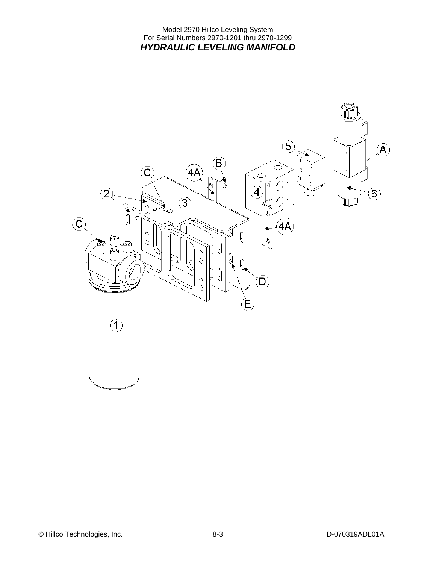#### Model 2970 Hillco Leveling System For Serial Numbers 2970-1201 thru 2970-1299 *HYDRAULIC LEVELING MANIFOLD*

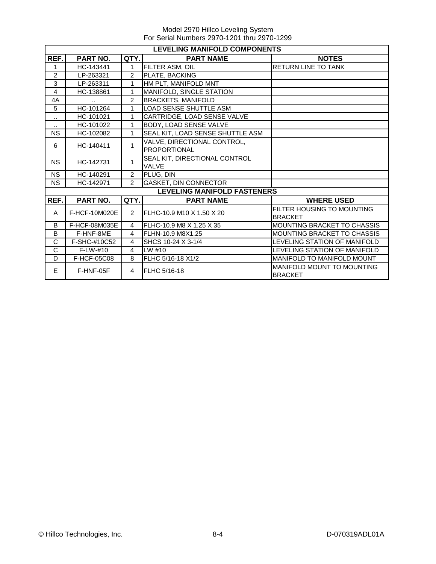|                        | <b>LEVELING MANIFOLD COMPONENTS</b> |                |                                    |                                    |  |  |  |  |  |
|------------------------|-------------------------------------|----------------|------------------------------------|------------------------------------|--|--|--|--|--|
| REF.                   | PART NO.                            | QTY.           | <b>PART NAME</b>                   | <b>NOTES</b>                       |  |  |  |  |  |
| 1                      | HC-143441                           |                | FILTER ASM, OIL                    | RETURN LINE TO TANK                |  |  |  |  |  |
| $\overline{2}$         | LP-263321                           | $\overline{2}$ | PLATE, BACKING                     |                                    |  |  |  |  |  |
| $\overline{3}$         | LP-263311                           | 1              | HM PLT, MANIFOLD MNT               |                                    |  |  |  |  |  |
| 4                      | HC-138861                           |                | MANIFOLD, SINGLE STATION           |                                    |  |  |  |  |  |
| 4A                     |                                     | $\mathfrak{p}$ | <b>BRACKETS, MANIFOLD</b>          |                                    |  |  |  |  |  |
| 5                      | HC-101264                           | 1              | <b>LOAD SENSE SHUTTLE ASM</b>      |                                    |  |  |  |  |  |
| $\ddotsc$              | HC-101021                           | 1              | CARTRIDGE, LOAD SENSE VALVE        |                                    |  |  |  |  |  |
|                        | HC-101022                           | 1              | BODY, LOAD SENSE VALVE             |                                    |  |  |  |  |  |
| <b>NS</b>              | HC-102082                           | 1              | SEAL KIT, LOAD SENSE SHUTTLE ASM   |                                    |  |  |  |  |  |
| 6                      | HC-140411                           | 1              | VALVE, DIRECTIONAL CONTROL,        |                                    |  |  |  |  |  |
|                        |                                     |                | PROPORTIONAL                       |                                    |  |  |  |  |  |
| <b>NS</b><br>HC-142731 |                                     | 1              | SEAL KIT, DIRECTIONAL CONTROL      |                                    |  |  |  |  |  |
|                        |                                     |                | VALVE                              |                                    |  |  |  |  |  |
| NS.                    | HC-140291                           | 2              | PLUG, DIN                          |                                    |  |  |  |  |  |
| <b>NS</b>              | HC-142971                           | $\overline{2}$ | GASKET, DIN CONNECTOR              |                                    |  |  |  |  |  |
|                        |                                     |                | <b>LEVELING MANIFOLD FASTENERS</b> |                                    |  |  |  |  |  |
| REF.                   | PART NO.                            | QTY.           | <b>PART NAME</b>                   | <b>WHERE USED</b>                  |  |  |  |  |  |
| A                      | F-HCF-10M020E                       | $\mathcal{P}$  | FLHC-10.9 M10 X 1.50 X 20          | FILTER HOUSING TO MOUNTING         |  |  |  |  |  |
|                        |                                     |                |                                    | <b>BRACKET</b>                     |  |  |  |  |  |
| B                      | F-HCF-08M035E                       | 4              | FLHC-10.9 M8 X 1.25 X 35           | MOUNTING BRACKET TO CHASSIS        |  |  |  |  |  |
| B                      | F-HNF-8ME                           | 4              | FLHN-10.9 M8X1.25                  | <b>MOUNTING BRACKET TO CHASSIS</b> |  |  |  |  |  |
| C                      | F-SHC-#10C52                        | 4              | SHCS 10-24 X 3-1/4                 | LEVELING STATION OF MANIFOLD       |  |  |  |  |  |
| $\mathsf{C}$           | $F-LW-#10$                          | 4              | LW #10                             | LEVELING STATION OF MANIFOLD       |  |  |  |  |  |
| D                      | F-HCF-05C08                         | 8              | FLHC 5/16-18 X1/2                  | MANIFOLD TO MANIFOLD MOUNT         |  |  |  |  |  |
| E                      |                                     |                |                                    | <b>MANIFOLD MOUNT TO MOUNTING</b>  |  |  |  |  |  |
|                        | F-HNF-05F                           | 4              | FLHC 5/16-18                       | <b>BRACKET</b>                     |  |  |  |  |  |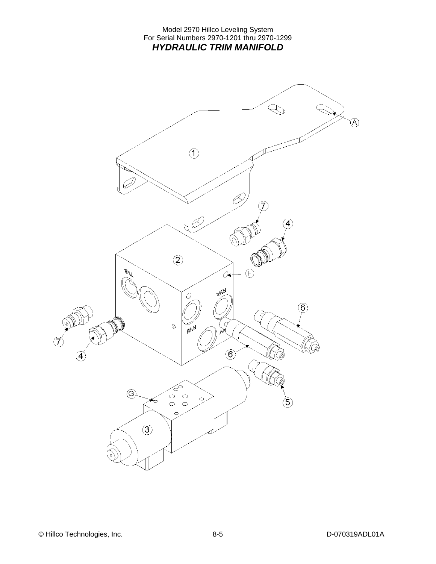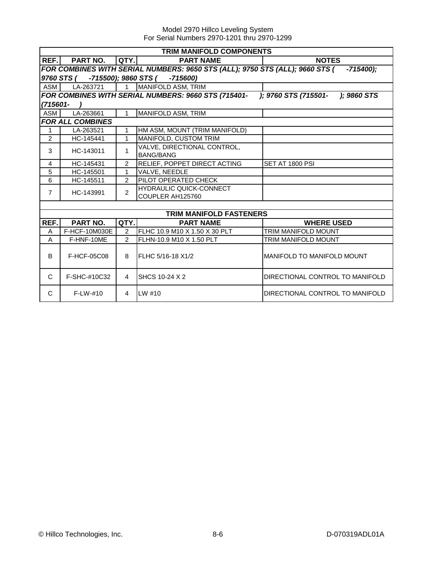|                | <b>TRIM MANIFOLD COMPONENTS</b>                                                             |                |                                                    |                                   |  |  |  |  |  |
|----------------|---------------------------------------------------------------------------------------------|----------------|----------------------------------------------------|-----------------------------------|--|--|--|--|--|
| REF.           | <b>PART NO.</b>                                                                             | QTY.           | <b>PART NAME</b>                                   | <b>NOTES</b>                      |  |  |  |  |  |
|                | FOR COMBINES WITH SERIAL NUMBERS: 9650 STS (ALL); 9750 STS (ALL); 9660 STS (<br>$-715400$ ; |                |                                                    |                                   |  |  |  |  |  |
|                | -715500); 9860 STS (<br>9760 STS (<br>$-715600$                                             |                |                                                    |                                   |  |  |  |  |  |
| ASM I          | LA-263721                                                                                   | $\mathbf{1}$   | MANIFOLD ASM, TRIM                                 |                                   |  |  |  |  |  |
|                | FOR COMBINES WITH SERIAL NUMBERS: 9660 STS (715401-<br>); 9760 STS (715501-<br>); 9860 STS  |                |                                                    |                                   |  |  |  |  |  |
| (715601-       |                                                                                             |                |                                                    |                                   |  |  |  |  |  |
| ASM            | LA-263661                                                                                   | $\mathbf{1}$   | MANIFOLD ASM, TRIM                                 |                                   |  |  |  |  |  |
|                | <b>FOR ALL COMBINES</b>                                                                     |                |                                                    |                                   |  |  |  |  |  |
| $\mathbf{1}$   | LA-263521                                                                                   | $\mathbf{1}$   | HM ASM, MOUNT (TRIM MANIFOLD)                      |                                   |  |  |  |  |  |
| $\overline{2}$ | HC-145441                                                                                   | 1              | MANIFOLD, CUSTOM TRIM                              |                                   |  |  |  |  |  |
| 3              | HC-143011                                                                                   | 1              | VALVE, DIRECTIONAL CONTROL,<br><b>BANG/BANG</b>    |                                   |  |  |  |  |  |
| 4              | HC-145431                                                                                   | $\overline{2}$ | RELIEF, POPPET DIRECT ACTING                       | SET AT 1800 PSI                   |  |  |  |  |  |
| 5              | HC-145501                                                                                   | $\mathbf{1}$   | VALVE, NEEDLE                                      |                                   |  |  |  |  |  |
| 6              | HC-145511                                                                                   | $\overline{2}$ | PILOT OPERATED CHECK                               |                                   |  |  |  |  |  |
| $\overline{7}$ | HC-143991                                                                                   | 2              | <b>HYDRAULIC QUICK-CONNECT</b><br>COUPLER AH125760 |                                   |  |  |  |  |  |
|                |                                                                                             |                |                                                    |                                   |  |  |  |  |  |
|                |                                                                                             |                | <b>TRIM MANIFOLD FASTENERS</b>                     |                                   |  |  |  |  |  |
| REF.           | <b>PART NO.</b>                                                                             | QTY.           | <b>PART NAME</b>                                   | <b>WHERE USED</b>                 |  |  |  |  |  |
| A              | F-HCF-10M030E                                                                               | 2              | FLHC 10.9 M10 X 1.50 X 30 PLT                      | <b>TRIM MANIFOLD MOUNT</b>        |  |  |  |  |  |
| A              | F-HNF-10ME                                                                                  | $\overline{2}$ | FLHN-10.9 M10 X 1.50 PLT                           | TRIM MANIFOLD MOUNT               |  |  |  |  |  |
| B              | F-HCF-05C08                                                                                 | 8              | FLHC 5/16-18 X1/2                                  | <b>MANIFOLD TO MANIFOLD MOUNT</b> |  |  |  |  |  |
| C              | F-SHC-#10C32                                                                                | 4              | SHCS 10-24 X 2                                     | DIRECTIONAL CONTROL TO MANIFOLD   |  |  |  |  |  |
| C              | $F-LW-#10$                                                                                  | 4              | LW #10                                             | DIRECTIONAL CONTROL TO MANIFOLD   |  |  |  |  |  |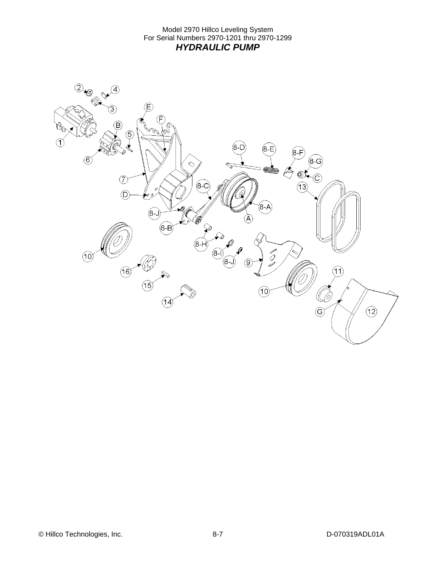Model 2970 Hillco Leveling System For Serial Numbers 2970-1201 thru 2970-1299 *HYDRAULIC PUMP* 

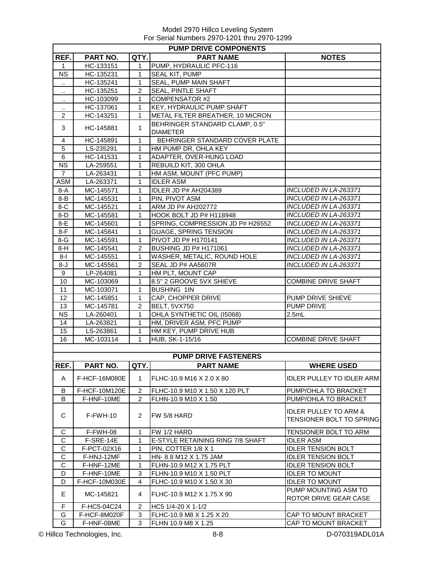|                      | <b>PUMP DRIVE COMPONENTS</b> |                |                                  |                                                              |  |  |  |  |  |
|----------------------|------------------------------|----------------|----------------------------------|--------------------------------------------------------------|--|--|--|--|--|
| REF.                 | PART NO.                     | QTY.           | <b>PART NAME</b>                 | <b>NOTES</b>                                                 |  |  |  |  |  |
| 1                    | HC-133151                    | 1              | PUMP, HYDRAULIC PFC-116          |                                                              |  |  |  |  |  |
| <b>NS</b>            | HC-135231                    | 1              | SEAL KIT, PUMP                   |                                                              |  |  |  |  |  |
| $\ddot{\phantom{0}}$ | HC-135241                    | $\mathbf{1}$   | <b>SEAL, PUMP MAIN SHAFT</b>     |                                                              |  |  |  |  |  |
|                      | HC-135251                    | 2              | <b>SEAL, PINTLE SHAFT</b>        |                                                              |  |  |  |  |  |
|                      | HC-103099                    | $\mathbf{1}$   | <b>COMPENSATOR #2</b>            |                                                              |  |  |  |  |  |
| $\ddot{\phantom{a}}$ | HC-137061                    | $\mathbf{1}$   | <b>KEY, HYDRAULIC PUMP SHAFT</b> |                                                              |  |  |  |  |  |
| 2                    | HC-143251                    | $\mathbf 1$    | METAL FILTER BREATHER, 10 MICRON |                                                              |  |  |  |  |  |
|                      |                              |                | BEHRINGER STANDARD CLAMP, 0.5"   |                                                              |  |  |  |  |  |
| 3                    | HC-145881                    | $\mathbf{1}$   | <b>DIAMETER</b>                  |                                                              |  |  |  |  |  |
| $\overline{4}$       | HC-145891                    | $\mathbf{1}$   | BEHRINGER STANDARD COVER PLATE   |                                                              |  |  |  |  |  |
| 5                    | LS-235291                    | $\mathbf{1}$   | HM PUMP DR, OHLA KEY             |                                                              |  |  |  |  |  |
| 6                    | HC-141531                    | $\mathbf{1}$   | ADAPTER, OVER-HUNG LOAD          |                                                              |  |  |  |  |  |
| <b>NS</b>            | LA-259551                    | $\mathbf{1}$   | REBUILD KIT, 300 OHLA            |                                                              |  |  |  |  |  |
| $\overline{7}$       | LA-263431                    | 1              | HM ASM, MOUNT (PFC PUMP)         |                                                              |  |  |  |  |  |
| <b>ASM</b>           | LA-263371                    | 1              | <b>IDLER ASM</b>                 |                                                              |  |  |  |  |  |
| 8-A                  | MC-145571                    | 1              | IDLER JD P# AH204389             | INCLUDED IN LA-263371                                        |  |  |  |  |  |
| $8 - B$              | MC-145531                    | 1              | PIN, PIVOT ASM                   | INCLUDED IN LA-263371                                        |  |  |  |  |  |
| $8-C$                | MC-145521                    | 1              | ARM JD P# AH202772               | INCLUDED IN LA-263371                                        |  |  |  |  |  |
| $8-D$                | MC-145581                    | 1              | HOOK BOLT JD P# H118948          | INCLUDED IN LA-263371                                        |  |  |  |  |  |
| 8-E                  | MC-145601                    | 1              | SPRING, COMPRESSION JD P# H26552 | INCLUDED IN LA-263371                                        |  |  |  |  |  |
| $8-F$                | MC-145841                    | 1              | <b>GUAGE, SPRING TENSION</b>     | INCLUDED IN LA-263371                                        |  |  |  |  |  |
| 8-G                  | MC-145591                    | $\mathbf{1}$   | PIVOT JD P# H170141              | INCLUDED IN LA-263371                                        |  |  |  |  |  |
| $8-H$                | MC-145541                    | 2              | BUSHING JD P# H171061            | INCLUDED IN LA-263371                                        |  |  |  |  |  |
| 8-l                  | MC-145551                    | $\mathbf{1}$   | WASHER, METALIC, ROUND HOLE      | INCLUDED IN LA-263371                                        |  |  |  |  |  |
| 8-J                  | MC-145561                    | $\overline{2}$ | SEAL JD P# AA5607R               | INCLUDED IN LA-263371                                        |  |  |  |  |  |
| 9                    | LP-264081                    | $\mathbf{1}$   | HM PLT, MOUNT CAP                |                                                              |  |  |  |  |  |
| 10                   | MC-103069                    | 1              | 8.5" 2 GROOVE 5VX SHIEVE         | <b>COMBINE DRIVE SHAFT</b>                                   |  |  |  |  |  |
| 11                   | MC-103071                    | $\mathbf{1}$   | <b>BUSHING 1IN</b>               |                                                              |  |  |  |  |  |
| 12                   | MC-145851                    | $\mathbf{1}$   | CAP, CHOPPER DRIVE               | PUMP DRIVE SHIEVE                                            |  |  |  |  |  |
| 13                   | MC-145781                    | $\overline{2}$ | BELT, 5VX750                     | <b>PUMP DRIVE</b>                                            |  |  |  |  |  |
| <b>NS</b>            | LA-260401                    | 1              | OHLA SYNTHETIC OIL (15068)       | 2.5mL                                                        |  |  |  |  |  |
| 14                   | LA-263821                    | $\mathbf 1$    | HM, DRIVER ASM, PFC PUMP         |                                                              |  |  |  |  |  |
| 15                   | LS-263861                    | 1              | HM KEY, PUMP DRIVE HUB           |                                                              |  |  |  |  |  |
| 16                   | MC-103114                    | 1              | HUB, SK-1-15/16                  | <b>COMBINE DRIVE SHAFT</b>                                   |  |  |  |  |  |
|                      |                              |                |                                  |                                                              |  |  |  |  |  |
|                      |                              |                | <b>PUMP DRIVE FASTENERS</b>      |                                                              |  |  |  |  |  |
| REF.                 | PART NO.                     | QTY.           | <b>PART NAME</b>                 | <b>WHERE USED</b>                                            |  |  |  |  |  |
| A                    | F-HCF-16M080E                | 1              | FLHC-10.9 M16 X 2.0 X 80         | <b>IDLER PULLEY TO IDLER ARM</b>                             |  |  |  |  |  |
| В                    | F-HCF-10M120E                | $\overline{2}$ | FLHC-10.9 M10 X 1.50 X 120 PLT   | PUMP/OHLA TO BRACKET                                         |  |  |  |  |  |
| B                    | F-HNF-10ME                   | 2              | FLHN-10.9 M10 X 1.50             | PUMP/OHLA TO BRACKET                                         |  |  |  |  |  |
| С                    | $F-FWH-10$                   | 2              | FW 5/8 HARD                      | <b>IDLER PULLEY TO ARM &amp;</b><br>TENSIONER BOLT TO SPRING |  |  |  |  |  |
| С                    | F-FWH-08                     | $\mathbf{1}$   | FW 1/2 HARD                      | TENSIONER BOLT TO ARM                                        |  |  |  |  |  |
| $\mathbf C$          | F-SRE-14E                    | $\mathbf{1}$   | E-STYLE RETAINING RING 7/8 SHAFT | <b>IDLER ASM</b>                                             |  |  |  |  |  |
| $\mathbf C$          | F-PCT-02X16                  | $\mathbf{1}$   | PIN, COTTER 1/8 X 1              | <b>IDLER TENSION BOLT</b>                                    |  |  |  |  |  |
| C                    | F-HNJ-12MF                   | $\mathbf{1}$   | HN- 8.8 M12 X 1.75 JAM           | <b>IDLER TENSION BOLT</b>                                    |  |  |  |  |  |
| C                    | F-HNF-12ME                   | 1              | FLHN-10.9 M12 X 1.75 PLT         | <b>IDLER TENSION BOLT</b>                                    |  |  |  |  |  |
| D                    | F-HNF-10ME                   | 3              | FLHN-10.9 M10 X 1.50 PLT         | <b>IDLER TO MOUNT</b>                                        |  |  |  |  |  |
| D                    | F-HCF-10M030E                | 4              | FLHC-10.9 M10 X 1.50 X 30        | <b>IDLER TO MOUNT</b>                                        |  |  |  |  |  |
|                      |                              |                |                                  | PUMP MOUNTING ASM TO                                         |  |  |  |  |  |
| E                    | MC-145821                    | 4              | FLHC-10.9 M12 X 1.75 X 90        | ROTOR DRIVE GEAR CASE                                        |  |  |  |  |  |
| F                    | F-HC5-04C24                  | $\overline{2}$ | HC5 1/4-20 X 1-1/2               |                                                              |  |  |  |  |  |
| G                    | F-HCF-8M020F                 | 3              | FLHC-10.9 M8 X 1.25 X 20         | CAP TO MOUNT BRACKET                                         |  |  |  |  |  |
| G                    | F-HNF-08ME                   | 3              | FLHN 10.9 M8 X 1.25              | CAP TO MOUNT BRACKET                                         |  |  |  |  |  |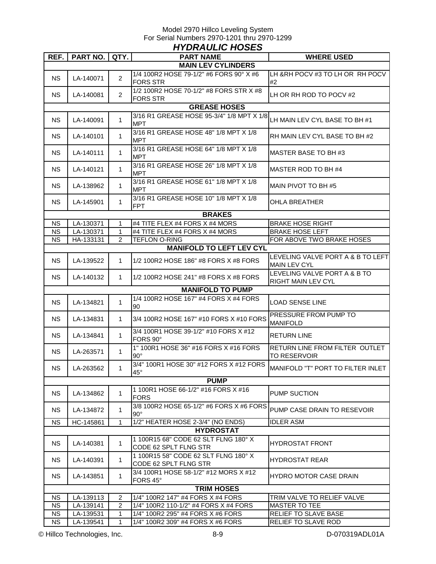#### Model 2970 Hillco Leveling System For Serial Numbers 2970-1201 thru 2970-1299 *HYDRAULIC HOSES*

|           |                 |                |                                                               | <b>WHERE USED</b>                                         |
|-----------|-----------------|----------------|---------------------------------------------------------------|-----------------------------------------------------------|
| REF.      | <b>PART NO.</b> | QTY.           | <b>PART NAME</b>                                              |                                                           |
|           |                 |                | <b>MAIN LEV CYLINDERS</b>                                     |                                                           |
| <b>NS</b> | LA-140071       | $\overline{2}$ | 1/4 100R2 HOSE 79-1/2" #6 FORS 90° X #6<br><b>FORS STR</b>    | LH & RH POCV #3 TO LH OR RH POCV<br>#2                    |
| <b>NS</b> | LA-140081       | $\overline{2}$ | 1/2 100R2 HOSE 70-1/2" #8 FORS STR X #8<br><b>FORS STR</b>    | LH OR RH ROD TO POCV#2                                    |
|           |                 |                | <b>GREASE HOSES</b>                                           |                                                           |
| <b>NS</b> | LA-140091       | $\mathbf{1}$   | 3/16 R1 GREASE HOSE 95-3/4" 1/8 MPT X 1/8<br><b>MPT</b>       | LH MAIN LEV CYL BASE TO BH #1                             |
| <b>NS</b> | LA-140101       | $\mathbf{1}$   | 3/16 R1 GREASE HOSE 48" 1/8 MPT X 1/8<br>MPT                  | RH MAIN LEV CYL BASE TO BH #2                             |
| NS.       | LA-140111       | 1              | 3/16 R1 GREASE HOSE 64" 1/8 MPT X 1/8<br><b>MPT</b>           | MASTER BASE TO BH #3                                      |
| <b>NS</b> | LA-140121       | $\mathbf{1}$   | 3/16 R1 GREASE HOSE 26" 1/8 MPT X 1/8<br><b>MPT</b>           | MASTER ROD TO BH #4                                       |
| <b>NS</b> | LA-138962       | $\mathbf{1}$   | 3/16 R1 GREASE HOSE 61" 1/8 MPT X 1/8<br><b>MPT</b>           | MAIN PIVOT TO BH #5                                       |
| <b>NS</b> | LA-145901       | $\mathbf{1}$   | 3/16 R1 GREASE HOSE 10" 1/8 MPT X 1/8<br><b>FPT</b>           | OHLA BREATHER                                             |
|           |                 |                | <b>BRAKES</b>                                                 |                                                           |
| <b>NS</b> | LA-130371       | 1              | #4 TITE FLEX #4 FORS X #4 MORS                                | <b>BRAKE HOSE RIGHT</b>                                   |
| <b>NS</b> | LA-130371       | 1              | #4 TITE FLEX #4 FORS X #4 MORS                                | <b>BRAKE HOSE LEFT</b>                                    |
| <b>NS</b> | HA-133131       | $\overline{c}$ | <b>TEFLON O-RING</b>                                          | FOR ABOVE TWO BRAKE HOSES                                 |
|           |                 |                | <b>MANIFOLD TO LEFT LEV CYL</b>                               |                                                           |
| <b>NS</b> | LA-139522       | 1              | 1/2 100R2 HOSE 186" #8 FORS X #8 FORS                         | LEVELING VALVE PORT A & B TO LEFT<br><b>MAIN LEV CYL</b>  |
| <b>NS</b> | LA-140132       | $\mathbf{1}$   | 1/2 100R2 HOSE 241" #8 FORS X #8 FORS                         | LEVELING VALVE PORT A & B TO<br><b>RIGHT MAIN LEV CYL</b> |
|           |                 |                | <b>MANIFOLD TO PUMP</b>                                       |                                                           |
| <b>NS</b> | LA-134821       | $\mathbf{1}$   | 1/4 100R2 HOSE 167" #4 FORS X #4 FORS<br>90                   | <b>LOAD SENSE LINE</b>                                    |
| <b>NS</b> | LA-134831       | $\mathbf{1}$   | 3/4 100R2 HOSE 167" #10 FORS X #10 FORS                       | PRESSURE FROM PUMP TO<br><b>MANIFOLD</b>                  |
| NS.       | LA-134841       | $\mathbf{1}$   | 3/4 100R1 HOSE 39-1/2" #10 FORS X #12<br>FORS 90°             | RETURN LINE                                               |
| <b>NS</b> | LA-263571       | $\mathbf{1}$   | 1" 100R1 HOSE 36" #16 FORS X #16 FORS<br>$90^\circ$           | RETURN LINE FROM FILTER OUTLET<br><b>TO RESERVOIR</b>     |
| <b>NS</b> | LA-263562       | $\mathbf{1}$   | 3/4" 100R1 HOSE 30" #12 FORS X #12 FORS<br>$45^{\circ}$       | MANIFOLD "T" PORT TO FILTER INLET                         |
|           |                 |                | <b>PUMP</b>                                                   |                                                           |
| <b>NS</b> | LA-134862       | $\mathbf{1}$   | 1 100R1 HOSE 66-1/2" #16 FORS X #16<br><b>FORS</b>            | PUMP SUCTION                                              |
| <b>NS</b> | LA-134872       | $\mathbf{1}$   | 3/8 100R2 HOSE 65-1/2" #6 FORS X #6 FORS<br>$90^\circ$        | PUMP CASE DRAIN TO RESEVOIR                               |
| <b>NS</b> | HC-145861       | 1              | 1/2" HEATER HOSE 2-3/4" (NO ENDS)                             | <b>IDLER ASM</b>                                          |
|           |                 |                | <b>HYDROSTAT</b>                                              |                                                           |
| <b>NS</b> | LA-140381       | $\mathbf{1}$   | 1 100R15 68" CODE 62 SLT FLNG 180° X<br>CODE 62 SPLT FLNG STR | HYDROSTAT FRONT                                           |
| <b>NS</b> | LA-140391       | $\mathbf{1}$   | 1 100R15 58" CODE 62 SLT FLNG 180° X<br>CODE 62 SPLT FLNG STR | <b>HYDROSTAT REAR</b>                                     |
| <b>NS</b> | LA-143851       | $\mathbf{1}$   | 3/4 100R1 HOSE 58-1/2" #12 MORS X #12<br>FORS 45°             | <b>HYDRO MOTOR CASE DRAIN</b>                             |
|           |                 |                | <b>TRIM HOSES</b>                                             |                                                           |
| <b>NS</b> | LA-139113       | 2              | 1/4" 100R2 147" #4 FORS X #4 FORS                             | TRIM VALVE TO RELIEF VALVE                                |
| <b>NS</b> | LA-139141       | $\overline{c}$ | 1/4" 100R2 110-1/2" #4 FORS X #4 FORS                         | <b>MASTER TO TEE</b>                                      |
| NS.       | LA-139531       | 1              | 1/4" 100R2 295" #4 FORS X #6 FORS                             | RELIEF TO SLAVE BASE                                      |
| <b>NS</b> | LA-139541       | $\mathbf{1}$   | 1/4" 100R2 309" #4 FORS X #6 FORS                             | RELIEF TO SLAVE ROD                                       |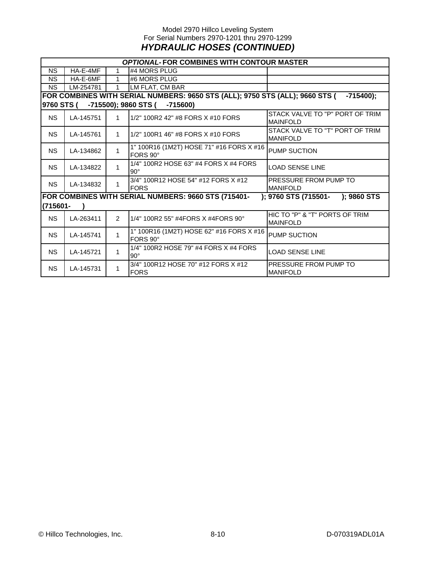#### Model 2970 Hillco Leveling System For Serial Numbers 2970-1201 thru 2970-1299 *HYDRAULIC HOSES (CONTINUED)*

|            | <b>OPTIONAL-FOR COMBINES WITH CONTOUR MASTER</b>                                            |                |                                                      |                                                    |  |  |  |  |  |  |
|------------|---------------------------------------------------------------------------------------------|----------------|------------------------------------------------------|----------------------------------------------------|--|--|--|--|--|--|
| <b>NS</b>  | HA-E-4MF                                                                                    |                | #4 MORS PLUG                                         |                                                    |  |  |  |  |  |  |
| <b>NS</b>  | HA-E-6MF                                                                                    |                | #6 MORS PLUG                                         |                                                    |  |  |  |  |  |  |
| <b>NS</b>  | LM-254781                                                                                   |                | LM FLAT, CM BAR                                      |                                                    |  |  |  |  |  |  |
|            | FOR COMBINES WITH SERIAL NUMBERS: 9650 STS (ALL); 9750 STS (ALL); 9660 STS (<br>$-715400$ ; |                |                                                      |                                                    |  |  |  |  |  |  |
| 9760 STS ( |                                                                                             |                | -715500); 9860 STS (<br>-715600)                     |                                                    |  |  |  |  |  |  |
| <b>NS</b>  | LA-145751                                                                                   | 1              | 1/2" 100R2 42" #8 FORS X #10 FORS                    | STACK VALVE TO "P" PORT OF TRIM<br><b>MAINFOLD</b> |  |  |  |  |  |  |
| NS.        | LA-145761                                                                                   | $\mathbf{1}$   | 1/2" 100R1 46" #8 FORS X #10 FORS                    | STACK VALVE TO "T" PORT OF TRIM<br><b>MANIFOLD</b> |  |  |  |  |  |  |
| <b>NS</b>  | LA-134862                                                                                   | 1              | 1" 100R16 (1M2T) HOSE 71" #16 FORS X #16<br>FORS 90° | <b>PUMP SUCTION</b>                                |  |  |  |  |  |  |
| <b>NS</b>  | LA-134822                                                                                   | 1              | 1/4" 100R2 HOSE 63" #4 FORS X #4 FORS<br>$90^\circ$  | <b>LOAD SENSE LINE</b>                             |  |  |  |  |  |  |
| <b>NS</b>  | LA-134832                                                                                   | 1              | 3/4" 100R12 HOSE 54" #12 FORS X #12<br><b>FORS</b>   | PRESSURE FROM PUMP TO<br><b>MANIFOLD</b>           |  |  |  |  |  |  |
| (715601-   |                                                                                             |                | FOR COMBINES WITH SERIAL NUMBERS: 9660 STS (715401-  | ); 9760 STS (715501- ); 9860 STS                   |  |  |  |  |  |  |
| <b>NS</b>  | LA-263411                                                                                   | $\mathfrak{p}$ | 1/4" 100R2 55" #4FORS X #4FORS 90°                   | HIC TO "P" & "T" PORTS OF TRIM<br><b>MAINFOLD</b>  |  |  |  |  |  |  |
| <b>NS</b>  | LA-145741                                                                                   | $\mathbf{1}$   | 1" 100R16 (1M2T) HOSE 62" #16 FORS X #16<br>FORS 90° | PUMP SUCTION                                       |  |  |  |  |  |  |
| <b>NS</b>  | LA-145721                                                                                   | 1              | 1/4" 100R2 HOSE 79" #4 FORS X #4 FORS<br>$90^\circ$  | <b>LOAD SENSE LINE</b>                             |  |  |  |  |  |  |
| <b>NS</b>  | LA-145731                                                                                   | 1              | 3/4" 100R12 HOSE 70" #12 FORS X #12<br><b>FORS</b>   | PRESSURE FROM PUMP TO<br><b>MANIFOLD</b>           |  |  |  |  |  |  |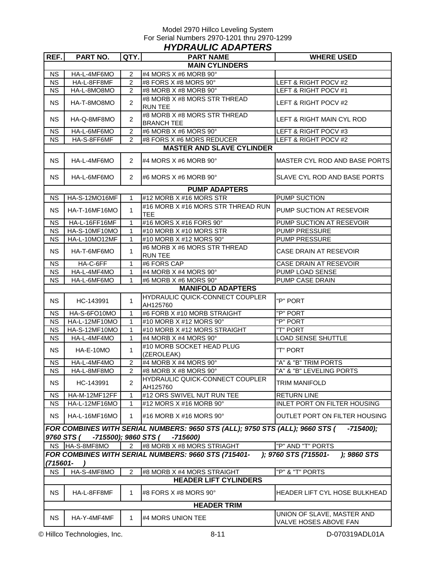#### Model 2970 Hillco Leveling System For Serial Numbers 2970-1201 thru 2970-1299 *HYDRAULIC ADAPTERS*

| REF.                   | <b>PART NO.</b>          | QTY.           | <b>PART NAME</b>                                                             | <b>WHERE USED</b>                                   |  |  |  |  |  |
|------------------------|--------------------------|----------------|------------------------------------------------------------------------------|-----------------------------------------------------|--|--|--|--|--|
|                        |                          |                | <b>MAIN CYLINDERS</b>                                                        |                                                     |  |  |  |  |  |
| <b>NS</b>              | HA-L-4MF6MO              | $\overline{2}$ | #4 MORS X #6 MORB 90°                                                        |                                                     |  |  |  |  |  |
| <b>NS</b>              | HA-L-8FF8MF              | $\overline{2}$ | #8 FORS X #8 MORS 90°                                                        | LEFT & RIGHT POCV #2                                |  |  |  |  |  |
| <b>NS</b>              | HA-L-8MO8MO              | 2              | #8 MORB X #8 MORB 90°                                                        | LEFT & RIGHT POCV #1                                |  |  |  |  |  |
| <b>NS</b>              | HA-T-8MO8MO              | 2              | #8 MORB X #8 MORS STR THREAD<br><b>RUN TEE</b>                               | LEFT & RIGHT POCV #2                                |  |  |  |  |  |
| <b>NS</b>              | HA-Q-8MF8MO              | $\overline{2}$ | #8 MORB X #8 MORS STR THREAD<br><b>BRANCH TEE</b>                            | LEFT & RIGHT MAIN CYL ROD                           |  |  |  |  |  |
| <b>NS</b>              | HA-L-6MF6MO              | $\overline{c}$ | #6 MORB X #6 MORS 90°                                                        | LEFT & RIGHT POCV #3                                |  |  |  |  |  |
| <b>NS</b>              | HA-S-8FF6MF              | 2              | #8 FORS X #6 MORS REDUCER                                                    | LEFT & RIGHT POCV #2                                |  |  |  |  |  |
|                        |                          |                | <b>MASTER AND SLAVE CYLINDER</b>                                             |                                                     |  |  |  |  |  |
| <b>NS</b>              | HA-L-4MF6MO              | $\overline{2}$ | $\sharp$ 4 MORS X #6 MORB 90 $^{\circ}$                                      | MASTER CYL ROD AND BASE PORTS                       |  |  |  |  |  |
| <b>NS</b>              | HA-L-6MF6MO              | 2              | $\sharp$ 6 MORS X #6 MORB 90°                                                | SLAVE CYL ROD AND BASE PORTS                        |  |  |  |  |  |
|                        |                          |                | <b>PUMP ADAPTERS</b>                                                         |                                                     |  |  |  |  |  |
| NS.                    | HA-S-12MO16MF            | $\mathbf{1}$   | #12 MORB X #16 MORS STR                                                      | PUMP SUCTION                                        |  |  |  |  |  |
| <b>NS</b>              | HA-T-16MF16MO            | 1              | #16 MORB X #16 MORS STR THREAD RUN<br><b>TEE</b>                             | PUMP SUCTION AT RESEVOIR                            |  |  |  |  |  |
| <b>NS</b>              | HA-L-16FF16MF            | $\mathbf{1}$   | #16 MORS X #16 FORS 90°                                                      | PUMP SUCTION AT RESEVOIR                            |  |  |  |  |  |
| <b>NS</b>              | HA-S-10MF10MO            | 1              | #10 MORB X #10 MORS STR                                                      | PUMP PRESSURE                                       |  |  |  |  |  |
| <b>NS</b>              | HA-L-10MO12MF            | 1              | #10 MORB X #12 MORS 90°                                                      | <b>PUMP PRESSURE</b>                                |  |  |  |  |  |
| <b>NS</b>              | HA-T-6MF6MO              | 1              | #6 MORB X #6 MORS STR THREAD<br><b>RUN TEE</b>                               | <b>CASE DRAIN AT RESEVOIR</b>                       |  |  |  |  |  |
| <b>NS</b>              | HA-C-6FF                 | 1              | #6 FORS CAP                                                                  | CASE DRAIN AT RESEVOIR                              |  |  |  |  |  |
| <b>NS</b>              | HA-L-4MF4MO              | 1              | #4 MORB X #4 MORS 90°                                                        | PUMP LOAD SENSE                                     |  |  |  |  |  |
| <b>NS</b>              | HA-L-6MF6MO              | 1              | #6 MORB X #6 MORS 90°                                                        | PUMP CASE DRAIN                                     |  |  |  |  |  |
|                        | <b>MANIFOLD ADAPTERS</b> |                |                                                                              |                                                     |  |  |  |  |  |
| <b>NS</b>              | HC-143991                | $\mathbf{1}$   | HYDRAULIC QUICK-CONNECT COUPLER<br>AH125760                                  | "P" PORT                                            |  |  |  |  |  |
| <b>NS</b>              | HA-S-6FO10MO             | 1              | #6 FORB X #10 MORB STRAIGHT                                                  | "P" PORT                                            |  |  |  |  |  |
| <b>NS</b>              | HA-L-12MF10MO            | $\mathbf{1}$   | #10 MORB X #12 MORS 90°                                                      | "P" PORT                                            |  |  |  |  |  |
| <b>NS</b>              | HA-S-12MF10MO            | 1              | #10 MORB X #12 MORS STRAIGHT                                                 | "T" PORT                                            |  |  |  |  |  |
| <b>NS</b>              | HA-L-4MF4MO              | 1              | #4 MORB X #4 MORS 90°                                                        | <b>LOAD SENSE SHUTTLE</b>                           |  |  |  |  |  |
| <b>NS</b>              | HA-E-10MO                | 1              | #10 MORB SOCKET HEAD PLUG<br>(ZEROLEAK)                                      | "T" PORT                                            |  |  |  |  |  |
| <b>NS</b>              | HA-L-4MF4MO              | $\overline{2}$ | #4 MORB X #4 MORS 90°                                                        | "A" & "B" TRIM PORTS                                |  |  |  |  |  |
| $\overline{\text{NS}}$ | HA-L-8MF8MO              | 2              | $\sharp 8$ MORB X #8 MORS $90^\circ$                                         | "A" & "B" LEVELING PORTS                            |  |  |  |  |  |
| <b>NS</b>              | HC-143991                | $\overline{2}$ | HYDRAULIC QUICK-CONNECT COUPLER<br>AH125760                                  | <b>TRIM MANIFOLD</b>                                |  |  |  |  |  |
| NS.                    | HA-M-12MF12FF            | 1              | #12 ORS SWIVEL NUT RUN TEE                                                   | <b>RETURN LINE</b>                                  |  |  |  |  |  |
| NS.                    | HA-L-12MF16MO            | 1              | #12 MORS X #16 MORB 90°                                                      | INLET PORT ON FILTER HOUSING                        |  |  |  |  |  |
| <b>NS</b>              | HA-L-16MF16MO            | 1              | $\sharp$ 16 MORB X #16 MORS 90°                                              | OUTLET PORT ON FILTER HOUSING                       |  |  |  |  |  |
|                        |                          |                | FOR COMBINES WITH SERIAL NUMBERS: 9650 STS (ALL); 9750 STS (ALL); 9660 STS ( | -715400);                                           |  |  |  |  |  |
|                        | 9760 STS (               |                | -715500); 9860 STS ( -715600)                                                |                                                     |  |  |  |  |  |
|                        | NS HA-S-8MF8MO           | $2^{\circ}$    | #8 MORB X #8 MORS STRIAGHT                                                   | "P" AND "T" PORTS                                   |  |  |  |  |  |
| (715601-               |                          |                | FOR COMBINES WITH SERIAL NUMBERS: 9660 STS (715401-                          | ); 9760 STS (715501-<br>); 9860 STS                 |  |  |  |  |  |
| <b>NS</b>              | HA-S-4MF8MO              | 2              | #8 MORB X #4 MORS STRAIGHT                                                   | "P" & "T" PORTS                                     |  |  |  |  |  |
|                        |                          |                | <b>HEADER LIFT CYLINDERS</b>                                                 |                                                     |  |  |  |  |  |
| <b>NS</b>              | HA-L-8FF8MF              | 1              | $\sharp$ 8 FORS X #8 MORS 90°                                                | HEADER LIFT CYL HOSE BULKHEAD                       |  |  |  |  |  |
|                        |                          |                | <b>HEADER TRIM</b>                                                           |                                                     |  |  |  |  |  |
| <b>NS</b>              | HA-Y-4MF4MF              | 1              | #4 MORS UNION TEE                                                            | UNION OF SLAVE, MASTER AND<br>VALVE HOSES ABOVE FAN |  |  |  |  |  |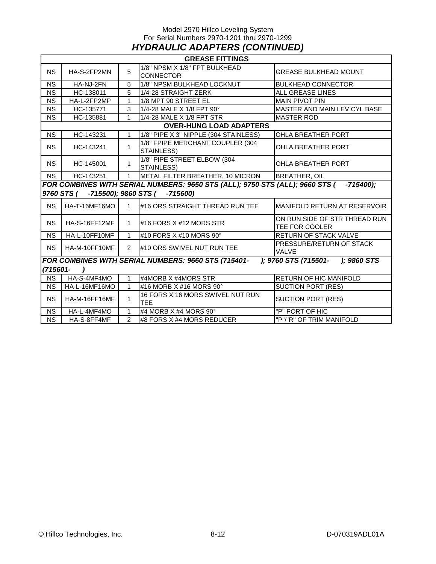#### Model 2970 Hillco Leveling System For Serial Numbers 2970-1201 thru 2970-1299 *HYDRAULIC ADAPTERS (CONTINUED)*

|           | <b>GREASE FITTINGS</b>                   |                |                                                                              |                                                 |  |  |  |  |
|-----------|------------------------------------------|----------------|------------------------------------------------------------------------------|-------------------------------------------------|--|--|--|--|
| NS.       | HA-S-2FP2MN                              | 5              | 1/8" NPSM X 1/8" FPT BULKHEAD<br><b>CONNECTOR</b>                            | <b>GREASE BULKHEAD MOUNT</b>                    |  |  |  |  |
| <b>NS</b> | HA-NJ-2FN                                | 5              | 1/8" NPSM BULKHEAD LOCKNUT                                                   | <b>BULKHEAD CONNECTOR</b>                       |  |  |  |  |
| <b>NS</b> | HC-138011                                | 5              | 1/4-28 STRAIGHT ZERK                                                         | ALL GREASE LINES                                |  |  |  |  |
| <b>NS</b> | HA-L-2FP2MP                              | 1              | 1/8 MPT 90 STREET EL                                                         | <b>MAIN PIVOT PIN</b>                           |  |  |  |  |
| <b>NS</b> | HC-135771                                | 3              | 1/4-28 MALE X 1/8 FPT 90°                                                    | MASTER AND MAIN LEV CYL BASE                    |  |  |  |  |
| <b>NS</b> | HC-135881                                | $\mathbf{1}$   | 1/4-28 MALE X 1/8 FPT STR                                                    | <b>MASTER ROD</b>                               |  |  |  |  |
|           |                                          |                | <b>OVER-HUNG LOAD ADAPTERS</b>                                               |                                                 |  |  |  |  |
| <b>NS</b> | HC-143231                                |                | 1/8" PIPE X 3" NIPPLE (304 STAINLESS)                                        | OHLA BREATHER PORT                              |  |  |  |  |
| <b>NS</b> | HC-143241                                | $\mathbf{1}$   | 1/8" FPIPE MERCHANT COUPLER (304<br>STAINLESS)                               | OHLA BREATHER PORT                              |  |  |  |  |
| <b>NS</b> | HC-145001                                | $\mathbf{1}$   | 1/8" PIPE STREET ELBOW (304<br>STAINLESS)                                    | OHLA BREATHER PORT                              |  |  |  |  |
| <b>NS</b> | HC-143251                                | $\mathbf{1}$   | METAL FILTER BREATHER, 10 MICRON                                             | <b>BREATHER, OIL</b>                            |  |  |  |  |
|           |                                          |                | FOR COMBINES WITH SERIAL NUMBERS: 9650 STS (ALL); 9750 STS (ALL); 9660 STS ( | $-715400$ :                                     |  |  |  |  |
|           | 9760 STS ( -715500); 9860 STS ( -715600) |                |                                                                              |                                                 |  |  |  |  |
| <b>NS</b> | HA-T-16MF16MO                            | $\mathbf{1}$   | #16 ORS STRAIGHT THREAD RUN TEE                                              | <b>MANIFOLD RETURN AT RESERVOIR</b>             |  |  |  |  |
| <b>NS</b> | HA-S-16FF12MF                            | 1              | #16 FORS X #12 MORS STR                                                      | ON RUN SIDE OF STR THREAD RUN<br>TEE FOR COOLER |  |  |  |  |
| <b>NS</b> | HA-L-10FF10MF                            | $\mathbf{1}$   | #10 FORS X #10 MORS 90°                                                      | RETURN OF STACK VALVE                           |  |  |  |  |
| <b>NS</b> | HA-M-10FF10MF                            | $\overline{2}$ | #10 ORS SWIVEL NUT RUN TEE                                                   | PRESSURE/RETURN OF STACK<br>VALVE               |  |  |  |  |
| (715601-  |                                          |                | FOR COMBINES WITH SERIAL NUMBERS: 9660 STS (715401-                          | ); 9760 STS (715501- ); 9860 STS                |  |  |  |  |
| <b>NS</b> | HA-S-4MF4MO                              |                | #4MORB X #4MORS STR                                                          | RETURN OF HIC MANIFOLD                          |  |  |  |  |
| NS.       | HA-L-16MF16MO                            | 1              | #16 MORB X #16 MORS 90°                                                      | <b>SUCTION PORT (RES)</b>                       |  |  |  |  |
| NS.       | HA-M-16FF16MF                            | 1              | 16 FORS X 16 MORS SWIVEL NUT RUN<br><b>TEE</b>                               | <b>SUCTION PORT (RES)</b>                       |  |  |  |  |
| <b>NS</b> | HA-L-4MF4MO                              | 1              | #4 MORB X #4 MORS 90°                                                        | "P" PORT OF HIC                                 |  |  |  |  |
| NS.       | HA-S-8FF4MF                              | $\overline{2}$ | #8 FORS X #4 MORS REDUCER                                                    | "P"/"R" OF TRIM MANIFOLD                        |  |  |  |  |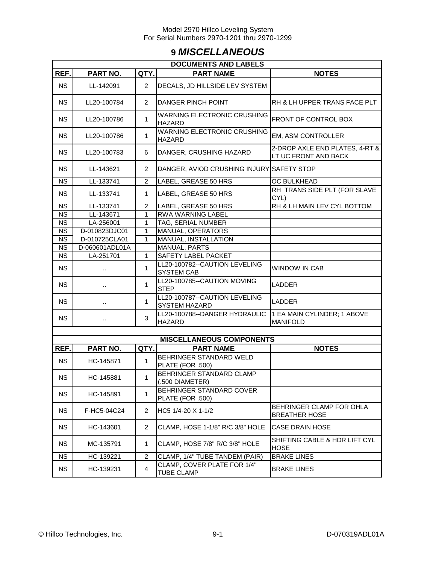# **9** *MISCELLANEOUS*

| <b>DOCUMENTS AND LABELS</b> |                |                |                                                       |                                                        |  |  |  |
|-----------------------------|----------------|----------------|-------------------------------------------------------|--------------------------------------------------------|--|--|--|
| REF.                        | PART NO.       | QTY.           | <b>PART NAME</b>                                      | <b>NOTES</b>                                           |  |  |  |
| <b>NS</b>                   | LL-142091      | $\overline{2}$ | DECALS, JD HILLSIDE LEV SYSTEM                        |                                                        |  |  |  |
| <b>NS</b>                   | LL20-100784    | 2              | <b>DANGER PINCH POINT</b>                             | RH & LH UPPER TRANS FACE PLT                           |  |  |  |
| <b>NS</b>                   | LL20-100786    | 1              | <b>WARNING ELECTRONIC CRUSHING</b><br><b>HAZARD</b>   | <b>FRONT OF CONTROL BOX</b>                            |  |  |  |
| <b>NS</b>                   | LL20-100786    | 1              | WARNING ELECTRONIC CRUSHING<br><b>HAZARD</b>          | EM, ASM CONTROLLER                                     |  |  |  |
| <b>NS</b>                   | LL20-100783    | 6              | DANGER, CRUSHING HAZARD                               | 2-DROP AXLE END PLATES, 4-RT &<br>LT UC FRONT AND BACK |  |  |  |
| <b>NS</b>                   | LL-143621      | 2              | DANGER, AVIOD CRUSHING INJURY SAFETY STOP             |                                                        |  |  |  |
| <b>NS</b>                   | LL-133741      | $\overline{2}$ | LABEL, GREASE 50 HRS                                  | OC BULKHEAD                                            |  |  |  |
| <b>NS</b>                   | LL-133741      | 1              | LABEL, GREASE 50 HRS                                  | RH TRANS SIDE PLT (FOR SLAVE<br>CYL)                   |  |  |  |
| <b>NS</b>                   | LL-133741      | $\overline{2}$ | LABEL, GREASE 50 HRS                                  | RH & LH MAIN LEV CYL BOTTOM                            |  |  |  |
| <b>NS</b>                   | LL-143671      | $\mathbf{1}$   | <b>RWA WARNING LABEL</b>                              |                                                        |  |  |  |
| <b>NS</b>                   | LA-256001      | $\mathbf{1}$   | TAG, SERIAL NUMBER                                    |                                                        |  |  |  |
| <b>NS</b>                   | D-010823DJC01  | $\mathbf{1}$   | MANUAL, OPERATORS                                     |                                                        |  |  |  |
| <b>NS</b>                   | D-010725CLA01  | 1              | MANUAL, INSTALLATION                                  |                                                        |  |  |  |
| <b>NS</b>                   | D-060601ADL01A |                | MANUAL, PARTS                                         |                                                        |  |  |  |
| <b>NS</b>                   | LA-251701      | $\mathbf{1}$   | SAFETY LABEL PACKET                                   |                                                        |  |  |  |
| <b>NS</b>                   |                | 1              | LL20-100782--CAUTION LEVELING<br><b>SYSTEM CAB</b>    | WINDOW IN CAB                                          |  |  |  |
| <b>NS</b>                   |                | 1              | LL20-100785--CAUTION MOVING<br><b>STEP</b>            | LADDER                                                 |  |  |  |
| <b>NS</b>                   | ٠.             | $\mathbf{1}$   | LL20-100787--CAUTION LEVELING<br><b>SYSTEM HAZARD</b> | LADDER                                                 |  |  |  |
| <b>NS</b>                   |                | 3              | LL20-100788--DANGER HYDRAULIC<br><b>HAZARD</b>        | 1 EA MAIN CYLINDER; 1 ABOVE<br><b>MANIFOLD</b>         |  |  |  |
|                             |                |                |                                                       |                                                        |  |  |  |
|                             |                |                | <b>MISCELLANEOUS COMPONENTS</b>                       |                                                        |  |  |  |
| REF.                        | PART NO.       | QTY.           | <b>PART NAME</b>                                      | <b>NOTES</b>                                           |  |  |  |
| <b>NS</b>                   | HC-145871      | $\mathbf{1}$   | BEHRINGER STANDARD WELD<br>PLATE (FOR .500)           |                                                        |  |  |  |
| NS                          | HC-145881      | $\mathbf{1}$   | BEHRINGER STANDARD CLAMP<br>(.500 DIAMETER)           |                                                        |  |  |  |
| <b>NS</b>                   | HC-145891      | 1              | BEHRINGER STANDARD COVER<br>PLATE (FOR .500)          |                                                        |  |  |  |
| <b>NS</b>                   | F-HC5-04C24    | 2              | HC5 1/4-20 X 1-1/2                                    | BEHRINGER CLAMP FOR OHLA<br><b>BREATHER HOSE</b>       |  |  |  |
| <b>NS</b>                   | HC-143601      | 2              | CLAMP, HOSE 1-1/8" R/C 3/8" HOLE                      | <b>CASE DRAIN HOSE</b>                                 |  |  |  |
| <b>NS</b>                   | MC-135791      | $\mathbf{1}$   | CLAMP, HOSE 7/8" R/C 3/8" HOLE                        | SHIFTING CABLE & HDR LIFT CYL<br><b>HOSE</b>           |  |  |  |
| <b>NS</b>                   | HC-139221      | $\overline{c}$ | CLAMP, 1/4" TUBE TANDEM (PAIR)                        | <b>BRAKE LINES</b>                                     |  |  |  |
| <b>NS</b>                   | HC-139231      | $\overline{4}$ | CLAMP, COVER PLATE FOR 1/4"<br><b>TUBE CLAMP</b>      | <b>BRAKE LINES</b>                                     |  |  |  |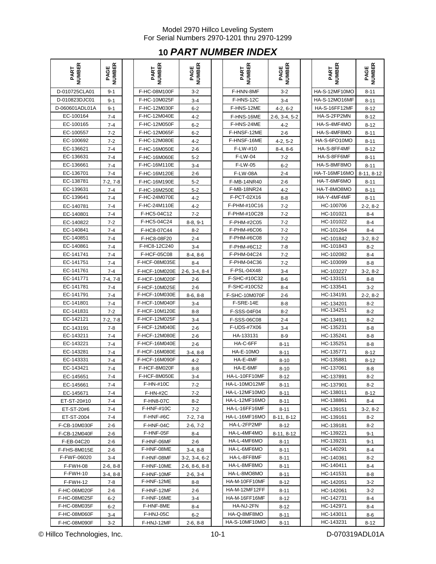# **10** *PART NUMBER INDEX*

| <b>NUMBER</b><br>PART  | <b>NUMBER</b><br>PAGE | <b>NUMBER</b><br>PART          | <b>NUMBER</b><br>PAGE | <b>NUMBER</b><br>PART     | <b>NUMBER</b><br>PAGE | <b>NUMBER</b><br>PART  | PAGE<br>NUMBER |
|------------------------|-----------------------|--------------------------------|-----------------------|---------------------------|-----------------------|------------------------|----------------|
| D-010725CLA01          | $9 - 1$               | F-HC-08M100F                   | $3-2$                 | F-HNN-8MF                 | $3 - 2$               | HA-S-12MF10MO          | $8 - 11$       |
| D-010823DJC01          | $9 - 1$               | F-HC-10M025F                   | $3 - 4$               | F-HNS-12C                 | $3 - 4$               | HA-S-12MO16MF          | $8 - 11$       |
| D-060601ADL01A         | $9 - 1$               | F-HC-12M030F                   | $6 - 2$               | F-HNS-12ME                | $4-2, 6-2$            | HA-S-16FF12MF          | $8 - 12$       |
| EC-100164              | $7 - 4$               | F-HC-12M040E                   | $4 - 2$               | F-HNS-16ME                | $2-6, 3-4, 5-2$       | HA-S-2FP2MN            | $8 - 12$       |
| EC-100165              | $7 - 4$               | F-HC-12M050F                   | $6 - 2$               | F-HNS-24ME                | $4 - 2$               | HA-S-4MF4MO            | $8 - 12$       |
| EC-100557              | $7 - 2$               | F-HC-12M065F                   | $6 - 2$               | F-HNSF-12ME               | $2 - 6$               | HA-S-4MF8MO            | 8-11           |
| EC-100692              | $7-2$                 | F-HC-12M080E                   | 4-2                   | F-HNSF-16ME               | $4-2, 5-2$            | HA-S-6FO10MO           | 8-11           |
| EC-136621              | $7 - 4$               | F-HC-16M050E                   | $2 - 6$               | F-LW-#10                  | $8-4, 8-6$            | HA-S-8FF4MF            | $8 - 12$       |
| EC-136631              | $7 - 4$               | F-HC-16M060E                   | $5-2$                 | F-LW-04                   | $7 - 2$               | HA-S-8FF6MF            | $8 - 11$       |
| EC-136661              | $7 - 4$               | F-HC-16M110E                   | 3-4                   | F-LW-05                   | $6 - 2$               | HA-S-8MF8MO            | $8 - 11$       |
| EC-136701              | $7 - 4$               | F-HC-16M120E                   | $2 - 6$               | <b>F-LW-08A</b>           | $2 - 4$               | HA-T-16MF16MO          | 8-11, 8-12     |
| EC-138781              | $7-2, 7-8$            | F-HC-16M190E                   | $5 - 2$               | F-MB-14NR40               | $2 - 6$               | HA-T-6MF6MO            | $8 - 11$       |
| EC-139631              | $7 - 4$               | F-HC-16M250E                   | $5 - 2$               | F-MB-18NR24               | $4 - 2$               | HA-T-8MO8MO            | $8 - 11$       |
| EC-139641              | $7 - 4$               | F-HC-24M070E                   | $4 - 2$               | F-PCT-02X16               | $8 - 8$               | HA-Y-4MF4MF            | $8 - 11$       |
| EC-140781              | $7 - 4$               | F-HC-24M110E                   | $4 - 2$               | F-PHM-#10C16              | $7 - 2$               | HC-100706              | $2-2, 8-2$     |
| EC-140801              | $7 - 4$               | F-HC5-04C12                    | $7-2$                 | F-PHM-#10C28              | $7 - 2$               | HC-101021              | 8-4            |
| EC-140822              | $7 - 2$               | F-HC5-04C24                    | $8-8, 9-1$            | F-PHM-#2C05               | $7 - 2$               | HC-101022              | 8-4            |
| EC-140841              | $7 - 4$               | F-HC8-07C44                    | $8 - 2$               | F-PHM-#6C06               | $7 - 2$               | HC-101264              | $8 - 4$        |
| EC-140851              | $7 - 4$               | F-HC8-08F20                    | 2-4                   | F-PHM-#6C08               | $7 - 2$               | HC-101842              | $3-2, 8-2$     |
| EC-140861              | $7 - 4$               | F-HC8-12C240                   | 3-4                   | F-PHM-#6C12               | $7-8$                 | HC-101843              | $8 - 2$        |
| EC-141741              | $7 - 4$               | F-HCF-05C08                    | $8-4, 8-6$            | F-PHM-04C24               | $7 - 2$               | HC-102082              | $8 - 4$        |
| EC-141751              | $7 - 4$               | F-HCF-08M035E                  | $8 - 4$               | F-PHM-04C36               | $7 - 2$               | HC-103099              | $8 - 8$        |
| EC-141761              | $7 - 4$               | F-HCF-10M020E                  | $2-6, 3-4, 8-4$       | F-PSL-04X48               | $3 - 4$               | HC-103227              | $3-2, 8-2$     |
| EC-141771              | $7-4, 7-8$            | F-HCF-10M020F                  | $2 - 6$               | F-SHC-#10C32              | $8-6$                 | HC-133151              | $8 - 8$        |
| EC-141781              | $7 - 4$               | F-HCF-10M025E                  | 2-6                   | F-SHC-#10C52              | $8 - 4$               | HC-133541              | $3-2$          |
| EC-141791              | $7 - 4$               | F-HCF-10M030E                  | $8-6, 8-8$            | F-SHC-10M070F             | $2 - 6$               | HC-134191              | $2-2, 8-2$     |
| EC-141801              | $7 - 4$               | F-HCF-10M040F                  | $3 - 4$               | F-SRE-14E                 | 8-8                   | HC-134201<br>HC-134251 | $8 - 2$        |
| EC-141831              | $7 - 2$               | F-HCF-10M120E                  | 8-8                   | F-SSS-04F04               | $8 - 2$               |                        | $8 - 2$        |
| EC-142121              | $7-2, 7-8$            | F-HCF-12M025F                  | 3-4                   | F-SSS-06C08               | $2 - 4$               | HC-134911              | $8 - 2$        |
| EC-143191              | $7-8$                 | F-HCF-12M040E                  | 2-6                   | F-UDS-#7X06               | 3-4                   | HC-135231              | 8-8            |
| EC-143211              | $7 - 4$               | F-HCF-12M080E                  | $2 - 6$               | HA-133131                 | $8 - 9$               | HC-135241              | 8-8            |
| EC-143221              | $7 - 4$               | F-HCF-16M040E                  | $2 - 6$               | HA-C-6FF<br>HA-E-10MO     | 8-11                  | HC-135251              | $8 - 8$        |
| EC-143281<br>EC-143331 | $7 - 4$               | F-HCF-16M080E<br>F-HCF-16M090F | $3-4, 8-8$            | HA-E-4MF                  | $8 - 11$              | HC-135771<br>HC-135881 | $8 - 12$       |
| EC-143421              | $7 - 4$               | F-HCF-8M020F                   | $4 - 2$               |                           | $8 - 10$              | HC-137061              | $8 - 12$       |
| EC-145651              | $7 - 4$               | F-HCF-8M050E                   | $8 - 8$               | HA-E-6MF<br>HA-L-10FF10MF | $8 - 10$              |                        | $8 - 8$        |
|                        | $7 - 4$<br>$7 - 4$    | F-HN-#10C                      | $3-4$                 | HA-L-10MO12MF             | $8 - 12$              | HC-137891              | $8 - 2$        |
| EC-145661<br>EC-145671 | $7 - 4$               | <b>F-HN-#2C</b>                | 7-2<br>7-2            | HA-L-12MF10MO             | $8 - 11$<br>8-11      | HC-137901<br>HC-138011 | 8-2<br>8-12    |
| ET-ST-20#10            | 7-4                   | F-HN8-07C                      | 8-2                   | HA-L-12MF16MO             | 8-11                  | HC-138861              | 8-4            |
| ET-ST-20#6             | $7 - 4$               | F-HNF-#10C                     | 7-2                   | HA-L-16FF16MF             | $8 - 11$              | HC-139151              | $3-2, 8-2$     |
| ET-ST-2004             | $7 - 4$               | F-HNF-#6C                      | $7-2, 7-8$            | HA-L-16MF16MO             | $8-11, 8-12$          | HC-139161              | 8-2            |
| F-CB-10M030F           | $2 - 6$               | F-HNF-04C                      | $2-6, 7-2$            | HA-L-2FP2MP               | $8 - 12$              | HC-139181              | 8-2            |
| F-CB-12M040F           | $2 - 6$               | F-HNF-05F                      | $8 - 4$               | HA-L-4MF4MO               | $8-11, 8-12$          | HC-139221              | $9 - 1$        |
| F-EB-04C20             | $2 - 6$               | F-HNF-06MF                     | $2 - 6$               | HA-L-4MF6MO               | $8 - 11$              | HC-139231              | $9 - 1$        |
| F-FHS-8M015E           | 2-6                   | F-HNF-08ME                     | $3-4, 8-8$            | HA-L-6MF6MO               | 8-11                  | HC-140291              | $8 - 4$        |
| F-FWF-06020            | 3-4                   | F-HNF-08MF                     | $3-2, 3-4, 6-2$       | HA-L-8FF8MF               | 8-11                  | HC-140361              | 8-2            |
| F-FWH-08               | $2-6, 8-8$            | F-HNF-10ME                     | $2-6, 8-6, 8-8$       | HA-L-8MF8MO               | 8-11                  | HC-140411              | 8-4            |
| F-FWH-10               | 3-4, 8-8              | F-HNF-10MF                     | $2-6, 3-4$            | HA-L-8MO8MO               | 8-11                  | HC-141531              | 8-8            |
| F-FWH-12               | 7-8                   | F-HNF-12ME                     | 8-8                   | HA-M-10FF10MF             | 8-12                  | HC-142051              | 3-2            |
| F-HC-06M020F           | 2-6                   | F-HNF-12MF                     | 2-6                   | HA-M-12MF12FF             | 8-11                  | HC-142061              | $3-2$          |
| F-HC-08M025F           | $6 - 2$               | F-HNF-16ME                     | $3 - 4$               | HA-M-16FF16MF             | $8 - 12$              | HC-142731              | $8 - 4$        |
| F-HC-08M035F           | $6 - 2$               | F-HNF-8ME                      | $8 - 4$               | HA-NJ-2FN                 | $8 - 12$              | HC-142971              | $8 - 4$        |
| F-HC-08M060F           | $3 - 4$               | F-HNJ-05C                      | $6 - 2$               | HA-Q-8MF8MO               | $8 - 11$              | HC-143011              | 8-6            |
| F-HC-08M090F           | $3 - 2$               | F-HNJ-12MF                     | $2-6, 8-8$            | HA-S-10MF10MO             | $8 - 11$              | HC-143231              | $8 - 12$       |

© Hillco Technologies, Inc. 10-1 10-1 D-070319ADL01A